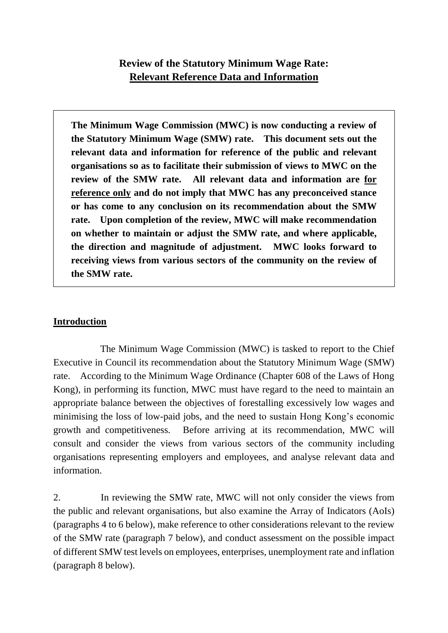# **Review of the Statutory Minimum Wage Rate: Relevant Reference Data and Information**

**The Minimum Wage Commission (MWC) is now conducting a review of the Statutory Minimum Wage (SMW) rate. This document sets out the relevant data and information for reference of the public and relevant organisations so as to facilitate their submission of views to MWC on the review of the SMW rate. All relevant data and information are for reference only and do not imply that MWC has any preconceived stance or has come to any conclusion on its recommendation about the SMW rate. Upon completion of the review, MWC will make recommendation on whether to maintain or adjust the SMW rate, and where applicable, the direction and magnitude of adjustment. MWC looks forward to receiving views from various sectors of the community on the review of the SMW rate.**

# **Introduction**

The Minimum Wage Commission (MWC) is tasked to report to the Chief Executive in Council its recommendation about the Statutory Minimum Wage (SMW) rate. According to the Minimum Wage Ordinance (Chapter 608 of the Laws of Hong Kong), in performing its function, MWC must have regard to the need to maintain an appropriate balance between the objectives of forestalling excessively low wages and minimising the loss of low-paid jobs, and the need to sustain Hong Kong's economic growth and competitiveness. Before arriving at its recommendation, MWC will consult and consider the views from various sectors of the community including organisations representing employers and employees, and analyse relevant data and information.

2. In reviewing the SMW rate, MWC will not only consider the views from the public and relevant organisations, but also examine the Array of Indicators (AoIs) (paragraphs 4 to 6 below), make reference to other considerations relevant to the review of the SMW rate (paragraph 7 below), and conduct assessment on the possible impact of different SMW test levels on employees, enterprises, unemployment rate and inflation (paragraph 8 below).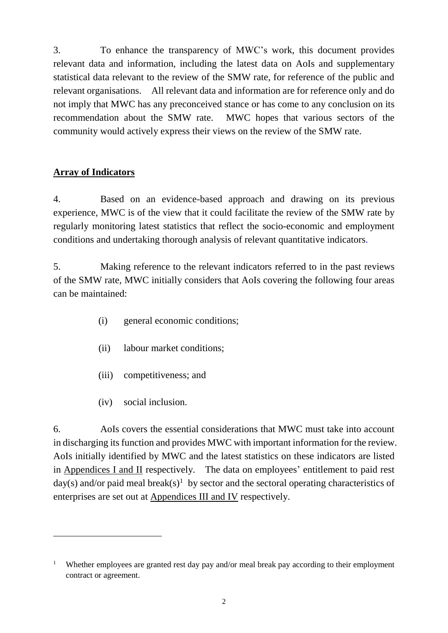3. To enhance the transparency of MWC's work, this document provides relevant data and information, including the latest data on AoIs and supplementary statistical data relevant to the review of the SMW rate, for reference of the public and relevant organisations. All relevant data and information are for reference only and do not imply that MWC has any preconceived stance or has come to any conclusion on its recommendation about the SMW rate. MWC hopes that various sectors of the community would actively express their views on the review of the SMW rate.

# **Array of Indicators**

 $\overline{a}$ 

4. Based on an evidence-based approach and drawing on its previous experience, MWC is of the view that it could facilitate the review of the SMW rate by regularly monitoring latest statistics that reflect the socio-economic and employment conditions and undertaking thorough analysis of relevant quantitative indicators.

5. Making reference to the relevant indicators referred to in the past reviews of the SMW rate, MWC initially considers that AoIs covering the following four areas can be maintained:

- (i) general economic conditions;
- (ii) labour market conditions;
- (iii) competitiveness; and
- (iv) social inclusion.

6. AoIs covers the essential considerations that MWC must take into account in discharging its function and provides MWC with important information for the review. AoIs initially identified by MWC and the latest statistics on these indicators are listed in Appendices I and II respectively. The data on employees' entitlement to paid rest day(s) and/or paid meal break(s)<sup>1</sup> by sector and the sectoral operating characteristics of enterprises are set out at Appendices III and IV respectively.

<sup>&</sup>lt;sup>1</sup> Whether employees are granted rest day pay and/or meal break pay according to their employment contract or agreement.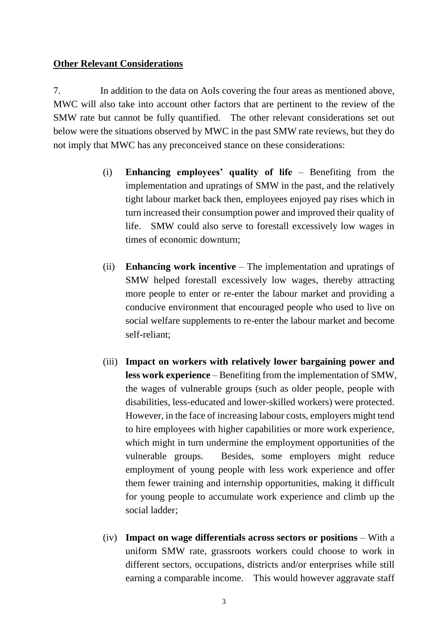### **Other Relevant Considerations**

7. In addition to the data on AoIs covering the four areas as mentioned above, MWC will also take into account other factors that are pertinent to the review of the SMW rate but cannot be fully quantified. The other relevant considerations set out below were the situations observed by MWC in the past SMW rate reviews, but they do not imply that MWC has any preconceived stance on these considerations:

- (i) **Enhancing employees' quality of life** Benefiting from the implementation and upratings of SMW in the past, and the relatively tight labour market back then, employees enjoyed pay rises which in turn increased their consumption power and improved their quality of life. SMW could also serve to forestall excessively low wages in times of economic downturn;
- (ii) **Enhancing work incentive** The implementation and upratings of SMW helped forestall excessively low wages, thereby attracting more people to enter or re-enter the labour market and providing a conducive environment that encouraged people who used to live on social welfare supplements to re-enter the labour market and become self-reliant;
- (iii) **Impact on workers with relatively lower bargaining power and less work experience** – Benefiting from the implementation of SMW, the wages of vulnerable groups (such as older people, people with disabilities, less-educated and lower-skilled workers) were protected. However, in the face of increasing labour costs, employers might tend to hire employees with higher capabilities or more work experience, which might in turn undermine the employment opportunities of the vulnerable groups. Besides, some employers might reduce employment of young people with less work experience and offer them fewer training and internship opportunities, making it difficult for young people to accumulate work experience and climb up the social ladder;
- (iv) **Impact on wage differentials across sectors or positions** With a uniform SMW rate, grassroots workers could choose to work in different sectors, occupations, districts and/or enterprises while still earning a comparable income. This would however aggravate staff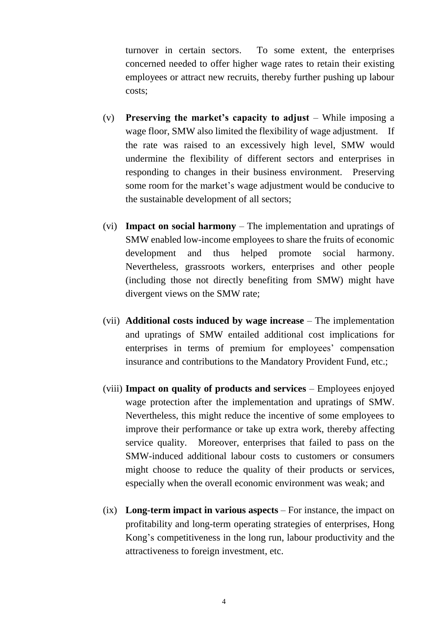turnover in certain sectors. To some extent, the enterprises concerned needed to offer higher wage rates to retain their existing employees or attract new recruits, thereby further pushing up labour costs;

- (v) **Preserving the market's capacity to adjust** While imposing a wage floor, SMW also limited the flexibility of wage adjustment. If the rate was raised to an excessively high level, SMW would undermine the flexibility of different sectors and enterprises in responding to changes in their business environment. Preserving some room for the market's wage adjustment would be conducive to the sustainable development of all sectors;
- (vi) **Impact on social harmony** The implementation and upratings of SMW enabled low-income employees to share the fruits of economic development and thus helped promote social harmony. Nevertheless, grassroots workers, enterprises and other people (including those not directly benefiting from SMW) might have divergent views on the SMW rate;
- (vii) **Additional costs induced by wage increase** The implementation and upratings of SMW entailed additional cost implications for enterprises in terms of premium for employees' compensation insurance and contributions to the Mandatory Provident Fund, etc.;
- (viii) **Impact on quality of products and services** Employees enjoyed wage protection after the implementation and upratings of SMW. Nevertheless, this might reduce the incentive of some employees to improve their performance or take up extra work, thereby affecting service quality. Moreover, enterprises that failed to pass on the SMW-induced additional labour costs to customers or consumers might choose to reduce the quality of their products or services, especially when the overall economic environment was weak; and
- (ix) **Long-term impact in various aspects** For instance, the impact on profitability and long-term operating strategies of enterprises, Hong Kong's competitiveness in the long run, labour productivity and the attractiveness to foreign investment, etc.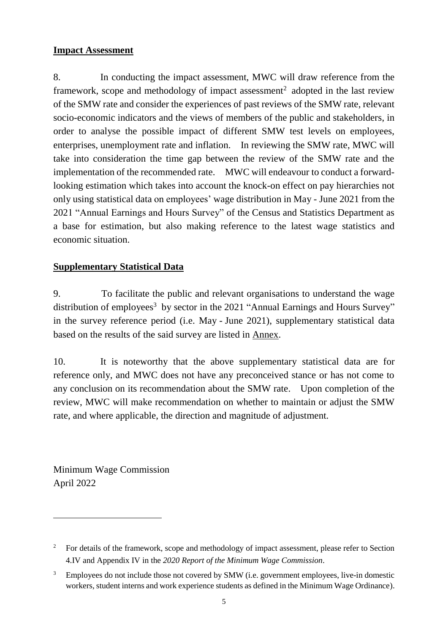### **Impact Assessment**

8. In conducting the impact assessment, MWC will draw reference from the framework, scope and methodology of impact assessment<sup>2</sup> adopted in the last review of the SMW rate and consider the experiences of past reviews of the SMW rate, relevant socio-economic indicators and the views of members of the public and stakeholders, in order to analyse the possible impact of different SMW test levels on employees, enterprises, unemployment rate and inflation. In reviewing the SMW rate, MWC will take into consideration the time gap between the review of the SMW rate and the implementation of the recommended rate. MWC will endeavour to conduct a forwardlooking estimation which takes into account the knock-on effect on pay hierarchies not only using statistical data on employees' wage distribution in May - June 2021 from the 2021 "Annual Earnings and Hours Survey" of the Census and Statistics Department as a base for estimation, but also making reference to the latest wage statistics and economic situation.

# **Supplementary Statistical Data**

9. To facilitate the public and relevant organisations to understand the wage distribution of employees<sup>3</sup> by sector in the 2021 "Annual Earnings and Hours Survey" in the survey reference period (i.e. May - June 2021), supplementary statistical data based on the results of the said survey are listed in Annex.

10. It is noteworthy that the above supplementary statistical data are for reference only, and MWC does not have any preconceived stance or has not come to any conclusion on its recommendation about the SMW rate. Upon completion of the review, MWC will make recommendation on whether to maintain or adjust the SMW rate, and where applicable, the direction and magnitude of adjustment.

Minimum Wage Commission April 2022

 $\overline{a}$ 

<sup>&</sup>lt;sup>2</sup> For details of the framework, scope and methodology of impact assessment, please refer to Section 4.IV and Appendix IV in the *2020 Report of the Minimum Wage Commission*.

Employees do not include those not covered by SMW (i.e. government employees, live-in domestic workers, student interns and work experience students as defined in the Minimum Wage Ordinance).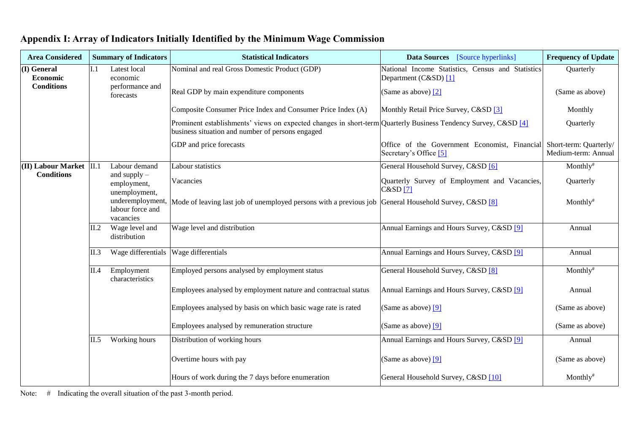| <b>Area Considered</b>   |      | <b>Summary of Indicators</b>                      | <b>Statistical Indicators</b>                                                                                                                                      | Data Sources [Source hyperlinks]                                           | <b>Frequency of Update</b>                    |
|--------------------------|------|---------------------------------------------------|--------------------------------------------------------------------------------------------------------------------------------------------------------------------|----------------------------------------------------------------------------|-----------------------------------------------|
| (I) General<br>Economic  | L1   | Latest local<br>economic                          | Nominal and real Gross Domestic Product (GDP)                                                                                                                      | National Income Statistics, Census and Statistics<br>Department (C&SD) [1] | Quarterly                                     |
| <b>Conditions</b>        |      | performance and<br>forecasts                      | Real GDP by main expenditure components                                                                                                                            | (Same as above) [2]                                                        | (Same as above)                               |
|                          |      |                                                   | Composite Consumer Price Index and Consumer Price Index (A)                                                                                                        | Monthly Retail Price Survey, C&SD [3]                                      | Monthly                                       |
|                          |      |                                                   | Prominent establishments' views on expected changes in short-term Quarterly Business Tendency Survey, C&SD [4]<br>business situation and number of persons engaged |                                                                            | Quarterly                                     |
|                          |      |                                                   | GDP and price forecasts                                                                                                                                            | Office of the Government Economist, Financial<br>Secretary's Office [5]    | Short-term: Quarterly/<br>Medium-term: Annual |
| (II) Labour Market  II.1 |      | Labour demand                                     | Labour statistics                                                                                                                                                  | General Household Survey, C&SD [6]                                         | Monthly#                                      |
| <b>Conditions</b>        |      | and $supply$ –<br>employment,<br>unemployment,    | Vacancies                                                                                                                                                          | Quarterly Survey of Employment and Vacancies,<br>C&SD[7]                   | Quarterly                                     |
|                          |      | underemployment,<br>labour force and<br>vacancies | Mode of leaving last job of unemployed persons with a previous job General Household Survey, C&SD [8]                                                              |                                                                            | Monthly#                                      |
|                          | II.2 | Wage level and<br>distribution                    | Wage level and distribution                                                                                                                                        | Annual Earnings and Hours Survey, C&SD [9]                                 | Annual                                        |
|                          | II.3 | Wage differentials Wage differentials             |                                                                                                                                                                    | Annual Earnings and Hours Survey, C&SD [9]                                 | Annual                                        |
|                          | II.4 | Employment<br>characteristics                     | Employed persons analysed by employment status                                                                                                                     | General Household Survey, C&SD [8]                                         | Monthly#                                      |
|                          |      |                                                   | Employees analysed by employment nature and contractual status                                                                                                     | Annual Earnings and Hours Survey, C&SD [9]                                 | Annual                                        |
|                          |      |                                                   | Employees analysed by basis on which basic wage rate is rated                                                                                                      | (Same as above) $[9]$                                                      | (Same as above)                               |
|                          |      |                                                   | Employees analysed by remuneration structure                                                                                                                       | (Same as above) $[9]$                                                      | (Same as above)                               |
|                          | II.5 | Working hours                                     | Distribution of working hours                                                                                                                                      | Annual Earnings and Hours Survey, C&SD [9]                                 | Annual                                        |
|                          |      |                                                   | Overtime hours with pay                                                                                                                                            | (Same as above) $[9]$                                                      | (Same as above)                               |
|                          |      |                                                   | Hours of work during the 7 days before enumeration                                                                                                                 | General Household Survey, C&SD [10]                                        | $Monthly^*$                                   |

# **Appendix I: Array of Indicators Initially Identified by the Minimum Wage Commission**

Note: # Indicating the overall situation of the past 3-month period.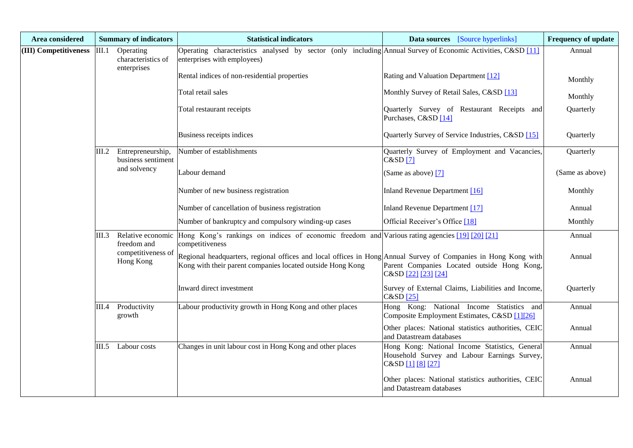| Area considered       |       | <b>Summary of indicators</b>                   | <b>Statistical indicators</b>                                                                                                                                                | <b>Data sources</b> [Source hyperlinks]                                                                             | <b>Frequency of update</b> |
|-----------------------|-------|------------------------------------------------|------------------------------------------------------------------------------------------------------------------------------------------------------------------------------|---------------------------------------------------------------------------------------------------------------------|----------------------------|
| (III) Competitiveness | III.1 | Operating<br>characteristics of<br>enterprises | Operating characteristics analysed by sector (only including Annual Survey of Economic Activities, C&SD [11]<br>enterprises with employees)                                  |                                                                                                                     | Annual                     |
|                       |       |                                                | Rental indices of non-residential properties                                                                                                                                 | Rating and Valuation Department [12]                                                                                | Monthly                    |
|                       |       |                                                | Total retail sales                                                                                                                                                           | Monthly Survey of Retail Sales, C&SD [13]                                                                           | Monthly                    |
|                       |       |                                                | Total restaurant receipts                                                                                                                                                    | Quarterly Survey of Restaurant Receipts and<br>Purchases, C&SD [14]                                                 | Quarterly                  |
|                       |       |                                                | Business receipts indices                                                                                                                                                    | Quarterly Survey of Service Industries, C&SD [15]                                                                   | Quarterly                  |
|                       | III.2 | Entrepreneurship,<br>business sentiment        | Number of establishments                                                                                                                                                     | Quarterly Survey of Employment and Vacancies,<br>C&SD[7]                                                            | Quarterly                  |
|                       |       | and solvency                                   | Labour demand                                                                                                                                                                | (Same as above) [7]                                                                                                 | (Same as above)            |
|                       |       |                                                | Number of new business registration                                                                                                                                          | Inland Revenue Department [16]                                                                                      | Monthly                    |
|                       |       |                                                | Number of cancellation of business registration                                                                                                                              | Inland Revenue Department [17]                                                                                      | Annual                     |
|                       |       |                                                | Number of bankruptcy and compulsory winding-up cases                                                                                                                         | Official Receiver's Office [18]                                                                                     | Monthly                    |
|                       | III.3 | Relative economic<br>freedom and               | Hong Kong's rankings on indices of economic freedom and Various rating agencies [19] [20] [21]<br>competitiveness                                                            |                                                                                                                     | Annual                     |
|                       |       | competitiveness of<br>Hong Kong                | Regional headquarters, regional offices and local offices in Hong Annual Survey of Companies in Hong Kong with<br>Kong with their parent companies located outside Hong Kong | Parent Companies Located outside Hong Kong,<br>C&SD [22] [23] [24]                                                  | Annual                     |
|                       |       |                                                | Inward direct investment                                                                                                                                                     | Survey of External Claims, Liabilities and Income,<br>$C&SD$ [25]                                                   | Quarterly                  |
|                       | III.4 | Productivity<br>growth                         | Labour productivity growth in Hong Kong and other places                                                                                                                     | Hong Kong: National Income Statistics and<br>Composite Employment Estimates, C&SD [1][26]                           | Annual                     |
|                       |       |                                                |                                                                                                                                                                              | Other places: National statistics authorities, CEIC<br>and Datastream databases                                     | Annual                     |
|                       |       | III.5 Labour costs                             | Changes in unit labour cost in Hong Kong and other places                                                                                                                    | Hong Kong: National Income Statistics, General<br>Household Survey and Labour Earnings Survey,<br>C&SD [1] [8] [27] | Annual                     |
|                       |       |                                                |                                                                                                                                                                              | Other places: National statistics authorities, CEIC<br>and Datastream databases                                     | Annual                     |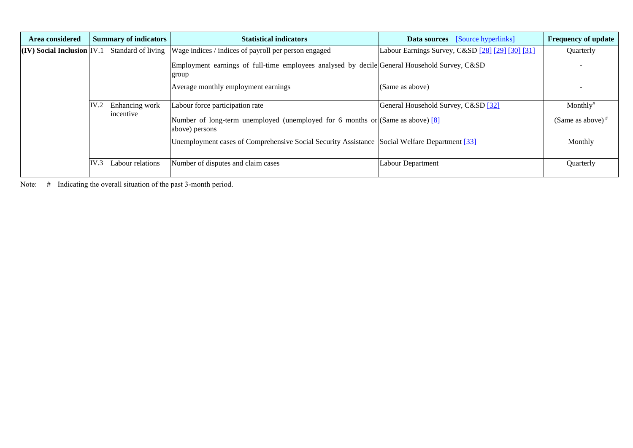| Area considered                            | <b>Summary of indicators</b> | <b>Statistical indicators</b>                                                                         | <b>Data sources</b> [Source hyperlinks]          | <b>Frequency of update</b> |
|--------------------------------------------|------------------------------|-------------------------------------------------------------------------------------------------------|--------------------------------------------------|----------------------------|
| $\vert$ (IV) Social Inclusion $\vert$ IV.1 |                              | Standard of living Wage indices / indices of payroll per person engaged                               | Labour Earnings Survey, C&SD [28] [29] [30] [31] | Quarterly                  |
|                                            |                              | Employment earnings of full-time employees analysed by decile General Household Survey, C&SD<br>group |                                                  |                            |
|                                            |                              | Average monthly employment earnings                                                                   | (Same as above)                                  |                            |
|                                            | IV.2<br>Enhancing work       | Labour force participation rate                                                                       | General Household Survey, C&SD [32]              | $Monthly^*$                |
|                                            | incentive                    | Number of long-term unemployed (unemployed for 6 months or $(Same as above)$ [8]<br>above) persons    |                                                  | (Same as above) $#$        |
|                                            |                              | Unemployment cases of Comprehensive Social Security Assistance Social Welfare Department [33]         |                                                  | Monthly                    |
|                                            | IV.3<br>Labour relations     | Number of disputes and claim cases                                                                    | Labour Department                                | Quarterly                  |

Note: # Indicating the overall situation of the past 3-month period.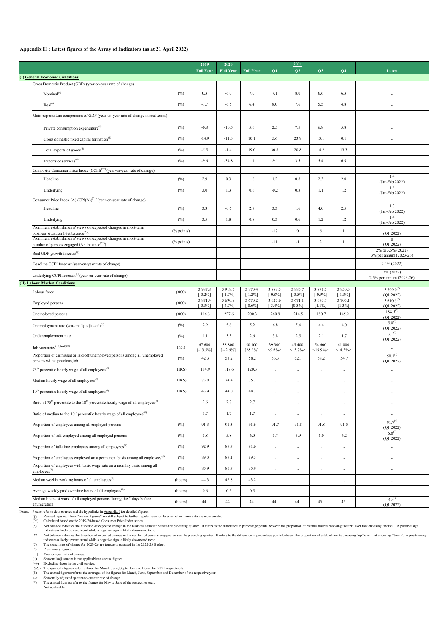### **Appendix II : Latest figures of the Array of Indicators (as at 21 April 2022)**

- (φ) Revised figures. These "revised figures" are still subject to further regular revision later on when more data are incorporated.
- $(\wedge\wedge)$  Calculated based on the 2019/20-based Consumer Price Index series.
- (\*) Net balance indicates the direction of expected change in the business situation versus the preceding quarter. It refers to the difference in percentage points between the proportion of establishments choosing "better" ove indicates a likely upward trend while a negative sign, a likely downward trend.
- (\*\*) Net balance indicates the direction of expected change in the number of persons engaged versus the preceding quarter. It refers to the difference in percentage points between the proportion of establishments choosing indicates a likely upward trend while a negative sign, a likely downward trend.
- (§) The trend rates of change for 2023-26 are forecasts as stated in the 2022-23 Budget.
- (^) Preliminary figures.
- [ ] Year-on-year rate of change.
- (+) Seasonal adjustment is not applicable to annual figures.
- $(+)$  Excluding those in the civil service.
- (&&) The quarterly figures refer to those for March, June, September and December 2021 respectively.
- (!!) The annual figures refer to the averages of the figures for March, June, September and December of the respective year.
- < > Seasonally adjusted quarter-to-quarter rate of change.
- (#) The annual figures refer to the figures for May to June of the respective year.
- Not applicable.

|                                                                                                                               |               | 2019                  | 2020                    |                           |                       | 2021                 |                      |                         |                                                        |
|-------------------------------------------------------------------------------------------------------------------------------|---------------|-----------------------|-------------------------|---------------------------|-----------------------|----------------------|----------------------|-------------------------|--------------------------------------------------------|
| (I) General Economic Conditions                                                                                               |               | <b>Full Year</b>      | <b>Full Year</b>        | <b>Full Year</b>          | $\Omega$              | Q2                   | Q3                   | Q <sub>4</sub>          | Latest                                                 |
| Gross Domestic Product (GDP) (year-on-year rate of change)                                                                    |               |                       |                         |                           |                       |                      |                      |                         |                                                        |
| Nominal $^{(\phi)}$                                                                                                           | (%)           | 0.3                   | $-6.0$                  | 7.0                       | 7.1                   | 8.0                  | 6.6                  | 6.3                     | $\ddotsc$                                              |
| $Real(\phi)$                                                                                                                  | $(\%)$        | $-1.7$                | $-6.5$                  | 6.4                       | 8.0                   | 7.6                  | 5.5                  | 4.8                     |                                                        |
| Main expenditure components of GDP (year-on-year rate of change in real terms)                                                |               |                       |                         |                           |                       |                      |                      |                         |                                                        |
| Private consumption expenditure <sup><math>(\phi)</math></sup>                                                                | $(\%)$        | $-0.8$                | $-10.5$                 | 5.6                       | 2.5                   | 7.5                  | 6.8                  | 5.8                     | $\ddotsc$                                              |
| Gross domestic fixed capital formation <sup>(<math>\phi</math>)</sup>                                                         | (%)           | $-14.9$               | $-11.3$                 | 10.1                      | 5.6                   | 23.9                 | 13.1                 | 0.1                     |                                                        |
| Total exports of goods <sup>(<math>\phi</math>)</sup>                                                                         | (%)           | $-5.5$                | $-1.4$                  | 19.0                      | 30.8                  | 20.8                 | 14.2                 | 13.3                    | $\ddot{\phantom{0}}$                                   |
| Exports of services <sup>(<math>\phi</math>)</sup>                                                                            | (%)           | $-9.6$                | $-34.8$                 | 1.1                       | $-9.1$                | 3.5                  | 5.4                  | 6.9                     | $\ddot{\phantom{0}}$                                   |
| Composite Consumer Price Index (CCPI) <sup>(^^)</sup> (year-on-year rate of change)                                           |               |                       |                         |                           |                       |                      |                      |                         |                                                        |
| Headline                                                                                                                      | (%)           | 2.9                   | 0.3                     | 1.6                       | 1.2                   | 0.8                  | 2.3                  | 2.0                     | 1.4<br>(Jan-Feb 2022)                                  |
| Underlying                                                                                                                    | (%)           | 3.0                   | 1.3                     | 0.6                       | $-0.2$                | 0.3                  | 1.1                  | 1.2                     | 1.5<br>$(Jan-Feb 2022)$                                |
| Consumer Price Index (A) $(CPI(A))^{(\wedge)}$ (year-on-year rate of change)                                                  |               |                       |                         |                           |                       |                      |                      |                         | 1.3                                                    |
| Headline                                                                                                                      | (%)           | 3.3                   | $-0.6$                  | 2.9                       | 3.3                   | 1.6                  | 4.0                  | 2.5                     | (Jan-Feb 2022)                                         |
| Underlying<br>Prominent establishments' views on expected changes in short-term                                               | $(\%)$        | 3.5                   | 1.8                     | 0.8                       | 0.3                   | 0.6                  | 1.2                  | 1.2                     | 1.4<br>(Jan-Feb 2022)                                  |
| business situation (Net balance <sup>(*)</sup> )                                                                              | $(\%$ points) | $\ddots$              | $\ldots$                | $\ddotsc$                 | $-17$                 | $\overline{0}$       | 6                    | $\mathbf{1}$            | (Q1 2022)                                              |
| Prominent establishments' views on expected changes in short-term<br>number of persons engaged (Net balance <sup>(**)</sup> ) | $(\%$ points) | $\ddots$              | $\ldots$                | $\ddotsc$                 | $-11$                 | $-1$                 | $\overline{2}$       | $\mathbf{1}$            | $\theta$<br>(Q1 2022)                                  |
| Real GDP growth forecast <sup>(§)</sup>                                                                                       |               | $\ldots$              | $\ldots$                | $\ldots$                  | $\ldots$              | $\ldots$             | $\ddotsc$            | $\cdots$                | 2% to 3.5% (2022)<br>3% per annum (2023-26)            |
| Headline CCPI forecast (year-on-year rate of change)                                                                          |               |                       | $\cdot\cdot$            | $\ldots$                  | $\ddot{\phantom{0}}$  |                      | $\ddotsc$            | $\ldots$                | $2.1\%$ (2022)                                         |
| Underlying CCPI forecast <sup>(\$)</sup> (year-on-year rate of change)                                                        |               | $\ldots$              | $\ldots$                | $\ldots$                  | $\ldots$              | $\ldots$             | $\ldots$             | $\cdot\cdot$            | $2\%$ (2022)<br>2.5% per annum (2023-26)               |
| (II) Labour Market Conditions                                                                                                 |               | 3 9 8 7 . 8           | 3 9 18.5                | 3 8 7 0 . 4               | 3 8 8 8 .5            | 3 8 8 5 .7           | 3 871.5              | 3 8 5 0 . 3             | 3 799.0 <sup>(<math>\degree</math>)</sup>              |
| Labour force                                                                                                                  | (000)         | $[-0.2\%]$            | $[-1.7\%]$              | $[-1.2\%]$                | $[-0.8\%]$            | $[-0.5\%]$           | $[-0.9\%]$           | $[-1.3\%]$              | (Q1 2022)                                              |
| Employed persons                                                                                                              | (000)         | 3 871.4<br>$[-0.3\%]$ | 3 6 9 0.9<br>$[-4.7\%]$ | 3 6 7 0 . 2<br>$[-0.6\%]$ | 3 627.6<br>$[-3.4\%]$ | 3 671.1<br>$[0.3\%]$ | 3 690.7<br>$[1.1\%]$ | 3 7 0 5 .1<br>$[1.3\%]$ | 3 610.5 <sup>(<math>\degree</math>)</sup><br>(Q1 2022) |
| Unemployed persons                                                                                                            | (000)         | 116.3                 | 227.6                   | 200.3                     | 260.9                 | 214.5                | 180.7                | 145.2                   | $188.5^{(4)}$<br>(Q1 2022)                             |
| Unemployment rate (seasonally adjusted) <sup>(+)</sup>                                                                        | $(\%)$        | 2.9                   | 5.8                     | 5.2                       | 6.8                   | 5.4                  | 4.4                  | 4.0                     | $5.0^{(1)}$<br>(Q1 2022)                               |
| Underemployment rate                                                                                                          | $(\%)$        | 1.1                   | 3.3                     | 2.6                       | 3.8                   | 2.5                  | 2.1                  | 1.7                     | $3.1^{(4)}$<br>(Q1 2022)                               |
| Job vacancies <sup>(++)(&amp;&amp;)(!!)</sup>                                                                                 | (no.)         | 67 600<br>$[-13.5\%]$ | 38 800<br>$[-42.6\%]$   | 50 100<br>[28.9%]         | 39 300<br>$< 9.6\%$   | 45 400<br>$<15.7\%$  | 54 600<br>$<$ 19.9%> | 61 000<br>$<14.5\%$     | $\ldots$                                               |
| Proportion of dismissed or laid off unemployed persons among all unemployed<br>persons with a previous job                    | (%)           | 42.3                  | 53.2                    | 58.2                      | 56.3                  | 62.1                 | 58.2                 | 54.7                    | $50.1^{(1)}$<br>(Q1 2022)                              |
| $75th$ percentile hourly wage of all employees <sup>(#)</sup>                                                                 | (HK\$)        | 114.9                 | 117.6                   | 120.3                     | $\ddotsc$             | $\ldots$             | $\ddotsc$            | $\ldots$                | $\ldots$                                               |
| Median hourly wage of all employees $^{(ii)}$                                                                                 | (HK\$)        | 73.0                  | 74.4                    | 75.7                      | $\ddotsc$             | $\ldots$             | $\ddotsc$            | $\ddotsc$               | $\ddot{\phantom{a}}$                                   |
| $10^{th}$ percentile hourly wage of all employees <sup>(#)</sup>                                                              | (HK\$)        | 43.9                  | 44.0                    | 44.7                      | $\ldots$              | $\ldots$             | $\ldots$             | $\cdots$                | $\ddot{\phantom{0}}$                                   |
| Ratio of 75 <sup>th</sup> percentile to the 10 <sup>th</sup> percentile hourly wage of all employees <sup>(#)</sup>           |               | 2.6                   | 2.7                     | 2.7                       | $\ldots$              | $\cdots$             | $\ddotsc$            | $\ldots$                | $\ldots$                                               |
| Ratio of median to the $10^{th}$ percentile hourly wage of all employees <sup>(#)</sup>                                       |               | 1.7                   | 1.7                     | 1.7                       | $\ldots$              | $\cdot\cdot$         | $\ldots$             | $\cdots$                | $\ddot{\phantom{0}}$                                   |
| Proportion of employees among all employed persons                                                                            | (%)           | 91.3                  | 91.3                    | 91.6                      | 91.7                  | 91.8                 | 91.8                 | 91.5                    | $91.7^{(1)}$<br>(Q1 2022)                              |
| Proportion of self-employed among all employed persons                                                                        | $(\%)$        | 5.8                   | 5.8                     | 6.0                       | 5.7                   | 5.9                  | 6.0                  | 6.2                     | $6.0^{(1)}$<br>(Q1 2022)                               |
| Proportion of full-time employees among all employees $^{(ii)}$                                                               | (%)           | 92.9                  | 89.7                    | 91.6                      | $\ddotsc$             | $\ldots$             | $\ddotsc$            | $\ddotsc$               | $\ldots$                                               |
| Proportion of employees employed on a permanent basis among all employees $^{(ii)}$                                           | (%)           | 89.3                  | 89.1                    | 89.3                      | $\ddotsc$             | $\cdots$             | $\cdots$             | $\cdots$                | $\ddot{\phantom{0}}$                                   |
| Proportion of employees with basic wage rate on a monthly basis among all<br>$\mbox{employes}^{(\#)}$                         | (%)           | 85.9                  | 85.7                    | 85.9                      | $\ddotsc$             | $\ldots$             | $\cdots$             | $\ldots$                | $\ddot{\phantom{0}}$                                   |
| Median weekly working hours of all employees $^{(ii)}$                                                                        | (hours)       | 44.3                  | 42.8                    | 43.2                      | $\ldots$              | $\cdots$             | $\cdots$             | $\cdots$                | $\ddot{\phantom{0}}$                                   |
| Average weekly paid overtime hours of all employees <sup>(#)</sup>                                                            | (hours)       | 0.6                   | 0.5                     | $0.5\,$                   | $\ddotsc$             | $\ldots$             | $\ldots$             | $\cdots$                | $\ldots$                                               |
| Median hours of work of all employed persons during the 7 days before<br>enumeration                                          | (hours)       | 44                    | 44                      | 44                        | 44                    | 44                   | 45                   | 45                      | $40^{(4)}$<br>(Q1 2022)                                |

Notes: Please refer to data sources and the hyperlinks in Appendix I for detailed figures.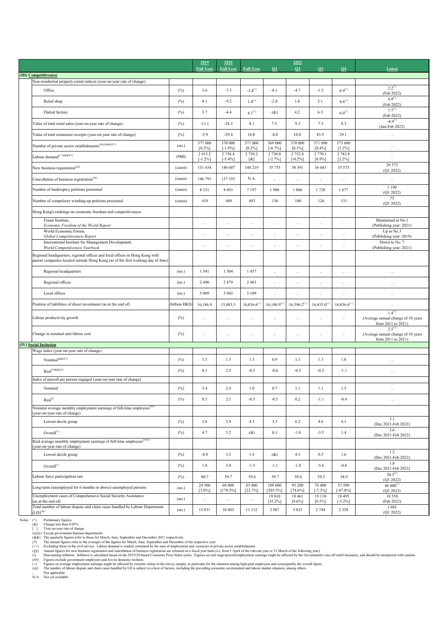|                                                                                                                                                                 |                | 2019                 | 2020                     |                                     |                         | 2021                    |                      |                          |                                                                              |
|-----------------------------------------------------------------------------------------------------------------------------------------------------------------|----------------|----------------------|--------------------------|-------------------------------------|-------------------------|-------------------------|----------------------|--------------------------|------------------------------------------------------------------------------|
| (III) Competitiveness                                                                                                                                           |                | <b>Full Year</b>     | <b>Full Year</b>         | <b>Full Year</b>                    | Q1                      | Q2                      | Q3                   | Q <sub>4</sub>           | Latest                                                                       |
| Non-residential property rental indices (year-on-year rate of change)                                                                                           |                |                      |                          |                                     |                         |                         |                      |                          |                                                                              |
| Office                                                                                                                                                          | (%)            | 3.6                  | $-7.5$                   | $-3.4^{(1)}$                        | $-8.1$                  | $-4.7$                  | $-1.5$               | $0.9^{(2)}$              | $2.2^{(1)}$<br>(Feb 2022)                                                    |
| Retail shop                                                                                                                                                     | (%)            | 0.1                  | $-9.2$                   | $1.4^{(4)}$                         | $-2.8$                  | 1.8                     | 2.1                  | $4.6^{(1)}$              | $4.9^{(1)}$<br>(Feb 2022)                                                    |
| Flatted factory                                                                                                                                                 | (%)            | 3.7                  | $-4.4$                   | $4.1^{(1)}$                         | (x)                     | 4.2                     | 6.3                  | $6.0^{(1)}$              | $7.7^{(1)}$<br>(Feb 2022)                                                    |
| Value of total retail sales (year-on-year rate of change)                                                                                                       | (%)            | $-11.1$              | $-24.3$                  | 8.1                                 | 7.5                     | 9.3                     | 7.3                  | 8.3                      | $-4.9^{(1)}$<br>(Jan-Feb 2022)                                               |
| Value of total restaurant receipts (year-on-year rate of change)                                                                                                | (%)            | $-5.9$               | $-29.4$                  | 16.8                                | $-8.8$                  | 10.0                    | 43.9                 | 29.1                     | $\ldots$                                                                     |
| Number of private sector establishments <sup>(@@)(&amp;&amp;)(!!)</sup>                                                                                         | (no.)          | 377 000<br>$[0.2\%]$ | 370 000<br>$[-1.9\%]$    | 371 000<br>$[0.2\%]$                | 369 000<br>$[-0.7\%]$   | 370 000<br>$[0.1\%]$    | 371 000<br>$[0.4\%]$ | 373 000<br>$[1.2\%]$     |                                                                              |
| Labour demand $\hspace{0.01em}^{(++)(\&\&)(!!)}$                                                                                                                | (000)          | 2915.2<br>$[-1.2\%]$ | 2 7 5 8 .4<br>$[-5.4\%]$ | 2 7 5 9 . 2<br>$\lbrack \& \rbrack$ | 2 7 3 0.0<br>$[-2.7\%]$ | 2 7 5 2.8<br>$[-0.2\%]$ | 2 770.1<br>$[0.9\%]$ | 2 7 8 3 . 8<br>$[2.2\%]$ | $\ldots$                                                                     |
| New business registration <sup>(§§)</sup>                                                                                                                       | (cases)        | 151 654              | 140 607                  | 140 219                             | 35 755                  | 38 391                  | 36 681               | 35 575                   | 29 572<br>(Q1 2022)                                                          |
| Cancellation of business registration <sup>(§§)</sup>                                                                                                           | (cases)        | 146 791              | 137 193                  | N.A.                                | $\ddots$                | $\ddotsc$               | $\ldots$             | $\ldots$                 | $\ldots$                                                                     |
| Number of bankruptcy petitions presented                                                                                                                        | (cases)        | 8 1 5 1              | 8693                     | 7 1 9 7                             | 1986                    | 1806                    | 1728                 | 1677                     | 1 1 9 0<br>(Q1 2022)                                                         |
| Number of compulsory winding-up petitions presented                                                                                                             | (cases)        | 419                  | 449                      | 493                                 | 136                     | 100                     | 126                  | 131                      | 75<br>(Q1 2022)                                                              |
| Hong Kong's rankings on economic freedom and competitiveness                                                                                                    |                |                      |                          |                                     |                         |                         |                      |                          |                                                                              |
| Fraser Institute,<br>Economic Freedom of the World Report                                                                                                       |                | $\ldots$             | $\ddot{\phantom{0}}$     | $\ddotsc$                           | $\ddotsc$               | $\ddotsc$               | $\ldots$             | $\cdot\cdot$             | Maintained at No.1<br>(Publishing year: 2021)                                |
| World Economic Forum,<br>Global Competitiveness Report                                                                                                          |                | $\ldots$             | $\ddot{\phantom{0}}$     | $\ldots$                            | $\cdot\cdot$            | $\ldots$                | $\ddotsc$            | $\cdot$                  | Up to No.3<br>(Publishing year: 2019)                                        |
| International Institute for Management Development,<br>World Competitiveness Yearbook                                                                           |                | $\ldots$             | $\ddot{\phantom{0}}$     | $\ddot{\phantom{0}}$                | $\ddotsc$               | $\ldots$                | $\ldots$             | $\cdot$                  | Down to No. 7<br>(Publishing year: 2021)                                     |
| Regional headquarters, regional offices and local offices in Hong Kong with<br>parent companies located outside Hong Kong (as of the first working day of June) |                |                      |                          |                                     |                         |                         |                      |                          |                                                                              |
| Regional headquarters                                                                                                                                           | (no.)          | 1 5 4 1              | 1 5 0 4                  | 1457                                | $\ldots$                | $\ldots$                | $\ldots$             | $\ddotsc$                |                                                                              |
| Regional offices                                                                                                                                                | (no.)          | 2 4 9 0              | 2479                     | 2483                                | $\ldots$                | $\ldots$                | $\ldots$             | $\cdot\cdot$             |                                                                              |
| Local offices                                                                                                                                                   | (no.)          | 5 0 0 9              | 5 0 4 2                  | 5 1 0 9                             | $\ddotsc$               | $\ddotsc$               | $\ldots$             |                          |                                                                              |
| Position of liabilities of direct investment (as at the end of)                                                                                                 | (billion HK\$) | 16,186.9             | 15,883.5                 | $16,836.6^{(2)}$                    | $16,180.9^{(4)}$        | $16,596.2^{(4)}$        | $16,633.0^{(4)}$     | $16,836.6^{(2)}$         |                                                                              |
| Labour productivity growth                                                                                                                                      | $(\%)$         | $\ddotsc$            | $\ddotsc$                | $\ddotsc$                           | $\ldots$                | $\ddotsc$               | $\ldots$             | $\ddotsc$                | $1.4^{(1)}$<br>(Average annual change of 10 years<br>from 2011 to 2021)      |
| Change in nominal unit labour cost                                                                                                                              | $(\%)$         | $\ddot{\phantom{a}}$ | $\ldots$                 | $\ddotsc$                           | $\ddotsc$               | $\ldots$                | $\ldots$             | $\ldots$                 | $2.5^{(1)}$<br>(Average annual change of 10 years<br>from $2011$ to $2021$ ) |
| (IV) Social Inclusion                                                                                                                                           |                |                      |                          |                                     |                         |                         |                      |                          |                                                                              |
| Wage index (year-on-year rate of change)                                                                                                                        |                |                      |                          |                                     |                         |                         |                      |                          |                                                                              |
| Nominal <sup>(&amp;&amp;)(!!)</sup>                                                                                                                             | $(\%)$         | 3.5                  | 1.3                      | 1.3                                 | 0.9                     | 1.1                     | 1.3                  | 1.8                      |                                                                              |
| $Real^{(!)(&&)(!!)}$<br>Index of payroll per person engaged (year-on-year rate of change)                                                                       | (%)            | 0.1                  | 2.5                      | $-0.5$                              | $-0.6$                  | $-0.3$                  | $-0.2$               | $-1.1$                   | $\ddotsc$                                                                    |
| Nominal                                                                                                                                                         | $(\%)$         | 3.4                  | 2.4                      | 1.0                                 | 0.7                     | 1.1                     | 1.1                  | 1.5                      | $\ddot{\phantom{a}}$                                                         |
| Real <sup>(!)</sup>                                                                                                                                             | (%)            | 0.5                  | 2.1                      | $-0.5$                              | $-0.5$                  | 0.2                     | $-1.1$               | $-0.4$                   |                                                                              |
| Nominal average monthly employment earnings of full-time employees <sup>(##)</sup><br>(year-on-year rate of change)                                             |                |                      |                          |                                     |                         |                         |                      |                          |                                                                              |
| Lowest decile group                                                                                                                                             | (%)            | 2.6                  | 2.9                      | 4.3                                 | 3.3                     | 6.2                     | 4.6                  | 4.1                      | 3.1<br>(Dec 2021-Feb 2022)                                                   |
| Overall $(\sim)$                                                                                                                                                | (%)            | 4.7                  | 5.2                      | (x)                                 | 0.1                     | $-1.0$                  | $-3.5$               | 1.4                      | 3.6<br>(Dec 2021-Feb 2022)                                                   |
| Real average monthly employment earnings of full-time employees $($ <sup>(##)(!)</sup><br>(year-on-year rate of change)                                         |                |                      |                          |                                     |                         |                         |                      |                          |                                                                              |
| Lowest decile group                                                                                                                                             | (%)            | $-0.8$               | 3.5                      | 1.4                                 | (x)                     | 4.5                     | 0.5                  | 1.6                      | 1.2<br>(Dec 2021-Feb 2022)                                                   |
| Overall $(\sim)$                                                                                                                                                | (%)            | 1.8                  | 5.0                      | $-1.5$                              | $-1.1$                  | $-1.8$                  | $-5.6$               | $-0.6$                   | 1.8<br>(Dec 2021-Feb 2022)                                                   |
| Labour force participation rate                                                                                                                                 | $(\%)$         | 60.7                 | 59.7                     | 59.4                                | 59.7                    | 59.6                    | 59.3                 | 58.9                     | $58.5^{(2)}$<br>(O1 2022)                                                    |
| Long-term (unemployed for 6 months or above) unemployed persons                                                                                                 |                | 24 300<br>$[3.0\%]$  | 68 000<br>$[179.5\%]$    | 83 400<br>[22.7%]                   | 109 600<br>$[203.5\%]$  | 93 200<br>$[74.6\%]$    | 76 400<br>$[-7.3\%]$ | 53 500<br>$[-47.8\%]$    | 46 000 $($ )<br>(Q1 2022)                                                    |
| Unemployment cases of Comprehensive Social Security Assistance<br>(as at the end of)                                                                            | (no.)          | $\ddotsc$            | $\cdot\cdot$             | $\cdots$                            | 19 810<br>$[35.2\%]$    | 19461<br>$[4.6\%]$      | 19 110<br>$[0.5\%]$  | 18 4 95<br>$[-5.2\%]$    | 18 5 5 0<br>(Feb 2022)                                                       |
| Total number of labour dispute and claim cases handled by Labour Department<br>$\left(\mathrm{LD}\right)^{\left(\circledast\right)}$                            | (no.)          | 13831                | 10 4 03                  | 11 112                              | 2987                    | 3 0 2 3                 | 2 7 4 4              | 2 3 5 8                  | 1985<br>(Q1 2022)                                                            |

Notes: ( $\hat{\alpha}$ ) Preliminary figures.<br>( $\hat{\alpha}$ ) Change less than 0.0

Change less than 0.05%.

[] Year-on-year rate of change.

 $(Q@)$  Except government bureaux/departments.

(&&) The quarterly figures refer to those for March, June, September and December 2021 respectively.

(!!) The annual figures refer to the averages of the figures for March, June, September and December of the respective year.

(++) Excluding those in the civil service. Labour demand is crudely estimated by the sum of employment and vacancies in private sector establishments.

(§§) Annual figures for new business registration and cancellation of business registration are released on a fiscal year basis (i.e. from 1 April of the relevant year to 31 March of the following year).

(!) Discounting inflation. Inflation is calculated based on the 2019/20-based Consumer Price Index series. Figures on real wage/payroll/employment earnings might be affected by the Government's one-off relief measures, and

(##) Figures exclude government employees and live-in domestic workers.

(~) Figures on average employment earnings might be affected by extreme values in the survey sample, in particular for the situation among high-paid employees and consequently the overall figure.

(@) The number of labour dispute and claim cases handled by LD is subject to a host of factors, including the prevailing economic environment and labour market situation, among others.

Not applicable.

N.A. Not yet available.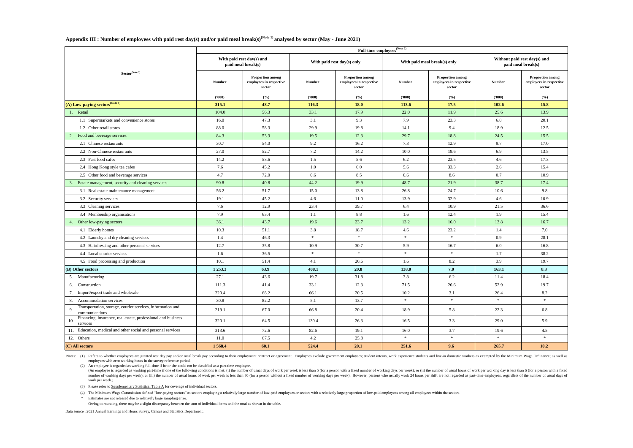**Appendix III : Number of employees with paid rest day(s) and/or paid meal break(s)(Note 1) analysed by sector (May - June 2021)**

(4) The Minimum Wage Commission defined "low-paying sectors" as sectors employing a relatively large number of low-paid employees or sectors with a relatively large proportion of low-paid employees among all employees with \* Estimates are not released due to relatively large sampling error.

Notes: (1) Refers to whether employees are granted rest day pay and/or meal break pay according to their employment contract or agreement. Employees exclude government employees; student interns, work experience students a employees with zero working hours in the survey reference period.

(An employee is regarded as working part-time if one of the following conditions is met: (i) the number of usual days of work per week is less than 5 (for a person with a fixed number of working days per week); or (ii) the number of working days per week); or (iii) the number of usual hours of work per week is less than 30 (for a person without a fixed number of working days per week). However, persons who usually work 24 hours per shift are work per week.)

(3) Please refer to Supplementary Statistical Table  $\overline{A}$  for coverage of individual sectors.

|                                                                                    | Full-time employees <sup>(Note 2)</sup> |                                                              |               |                                                              |               |                                                              |               |                                                              |  |  |  |  |  |
|------------------------------------------------------------------------------------|-----------------------------------------|--------------------------------------------------------------|---------------|--------------------------------------------------------------|---------------|--------------------------------------------------------------|---------------|--------------------------------------------------------------|--|--|--|--|--|
|                                                                                    |                                         | With paid rest day(s) and<br>paid meal break(s)              |               | With paid rest day(s) only                                   |               | With paid meal break(s) only                                 |               | Without paid rest day(s) and<br>paid meal break(s)           |  |  |  |  |  |
| Sector <sup>(Note 3)</sup>                                                         | <b>Number</b>                           | <b>Proportion among</b><br>employees in respective<br>sector | <b>Number</b> | <b>Proportion among</b><br>employees in respective<br>sector | <b>Number</b> | <b>Proportion among</b><br>employees in respective<br>sector | <b>Number</b> | <b>Proportion among</b><br>employees in respective<br>sector |  |  |  |  |  |
|                                                                                    | (1000)                                  | (%)                                                          | (1000)        | (%)                                                          | (000)         | (%)                                                          | (1000)        | (%)                                                          |  |  |  |  |  |
| $(A)$ Low-paying sectors <sup>(Note 4)</sup>                                       | 315.1                                   | 48.7                                                         | 116.3         | <b>18.0</b>                                                  | 113.6         | 17.5                                                         | 102.6         | 15.8                                                         |  |  |  |  |  |
| 1. Retail                                                                          | 104.0                                   | 56.3                                                         | 33.1          | 17.9                                                         | 22.0          | 11.9                                                         | 25.6          | 13.9                                                         |  |  |  |  |  |
| 1.1 Supermarkets and convenience stores                                            | 16.0                                    | 47.3                                                         | 3.1           | 9.3                                                          | 7.9           | 23.3                                                         | 6.8           | 20.1                                                         |  |  |  |  |  |
| 1.2 Other retail stores                                                            | 88.0                                    | 58.3                                                         | 29.9          | 19.8                                                         | 14.1          | 9.4                                                          | 18.9          | 12.5                                                         |  |  |  |  |  |
| 2. Food and beverage services                                                      | 84.3                                    | 53.3                                                         | 19.5          | 12.3                                                         | 29.7          | 18.8                                                         | 24.5          | 15.5                                                         |  |  |  |  |  |
| 2.1 Chinese restaurants                                                            | 30.7                                    | 54.0                                                         | 9.2           | 16.2                                                         | 7.3           | 12.9                                                         | 9.7           | 17.0                                                         |  |  |  |  |  |
| 2.2 Non-Chinese restaurants                                                        | 27.0                                    | 52.7                                                         | 7.2           | 14.2                                                         | 10.0          | 19.6                                                         | 6.9           | 13.5                                                         |  |  |  |  |  |
| 2.3 Fast food cafes                                                                | 14.2                                    | 53.6                                                         | 1.5           | 5.6                                                          | 6.2           | 23.5                                                         | 4.6           | 17.3                                                         |  |  |  |  |  |
| 2.4 Hong Kong style tea cafes                                                      | 7.6                                     | 45.2                                                         | 1.0           | 6.0                                                          | 5.6           | 33.3                                                         | 2.6           | 15.4                                                         |  |  |  |  |  |
| 2.5 Other food and beverage services                                               | 4.7                                     | 72.0                                                         | 0.6           | 8.5                                                          | 0.6           | 8.6                                                          | 0.7           | 10.9                                                         |  |  |  |  |  |
| Estate management, security and cleaning services                                  | 90.8                                    | 40.8                                                         | 44.2          | 19.9                                                         | 48.7          | 21.9                                                         | 38.7          | 17.4                                                         |  |  |  |  |  |
| 3.1 Real estate maintenance management                                             | 56.2                                    | 51.7                                                         | 15.0          | 13.8                                                         | 26.8          | 24.7                                                         | 10.6          | 9.8                                                          |  |  |  |  |  |
| 3.2 Security services                                                              | 19.1                                    | 45.2                                                         | 4.6           | 11.0                                                         | 13.9          | 32.9                                                         | 4.6           | 10.9                                                         |  |  |  |  |  |
| 3.3 Cleaning services                                                              | 7.6                                     | 12.9                                                         | 23.4          | 39.7                                                         | 6.4           | 10.9                                                         | 21.5          | 36.6                                                         |  |  |  |  |  |
| 3.4 Membership organisations                                                       | 7.9                                     | 63.4                                                         | 1.1           | 8.8                                                          | 1.6           | 12.4                                                         | 1.9           | 15.4                                                         |  |  |  |  |  |
| Other low-paying sectors                                                           | 36.1                                    | 43.7                                                         | 19.6          | 23.7                                                         | 13.2          | 16.0                                                         | 13.8          | 16.7                                                         |  |  |  |  |  |
| 4.1 Elderly homes                                                                  | 10.3                                    | 51.1                                                         | 3.8           | 18.7                                                         | 4.6           | 23.2                                                         | 1.4           | 7.0                                                          |  |  |  |  |  |
| 4.2 Laundry and dry cleaning services                                              | 1.4                                     | 46.3                                                         | $\ast$        | $\ast$                                                       | $\ast$        |                                                              | 0.9           | 28.1                                                         |  |  |  |  |  |
| 4.3 Hairdressing and other personal services                                       | 12.7                                    | 35.8                                                         | 10.9          | 30.7                                                         | 5.9           | 16.7                                                         | 6.0           | 16.8                                                         |  |  |  |  |  |
| 4.4 Local courier services                                                         | 1.6                                     | 36.5                                                         | $\ast$        | $\ast$                                                       | $\ast$        | $\ast$                                                       | 1.7           | 38.2                                                         |  |  |  |  |  |
| 4.5 Food processing and production                                                 | 10.1                                    | 51.4                                                         | 4.1           | 20.6                                                         | 1.6           | 8.2                                                          | 3.9           | 19.7                                                         |  |  |  |  |  |
| $(B)$ Other sectors                                                                | 1 253.3                                 | 63.9                                                         | 408.1         | 20.8                                                         | 138.0         | 7.0                                                          | 163.1         | 8.3                                                          |  |  |  |  |  |
| 5. Manufacturing                                                                   | 27.1                                    | 43.6                                                         | 19.7          | 31.8                                                         | 3.8           | 6.2                                                          | 11.4          | 18.4                                                         |  |  |  |  |  |
| 6. Construction                                                                    | 111.3                                   | 41.4                                                         | 33.1          | 12.3                                                         | 71.5          | 26.6                                                         | 52.9          | 19.7                                                         |  |  |  |  |  |
| 7. Import/export trade and wholesale                                               | 220.4                                   | 68.2                                                         | 66.1          | 20.5                                                         | 10.2          | 3.1                                                          | 26.4          | 8.2                                                          |  |  |  |  |  |
| 8. Accommodation services                                                          | 30.8                                    | 82.2                                                         | 5.1           | 13.7                                                         | $\ast$        | $\ast$                                                       | $\ast$        | $\ast$                                                       |  |  |  |  |  |
| Transportation, storage, courier services, information and<br>9.<br>communications | 219.1                                   | 67.0                                                         | 66.8          | 20.4                                                         | 18.9          | 5.8                                                          | 22.3          | 6.8                                                          |  |  |  |  |  |
| Financing, insurance, real estate, professional and business<br>10.<br>services    | 320.1                                   | 64.5                                                         | 130.4         | 26.3                                                         | 16.5          | 3.3                                                          | 29.0          | 5.9                                                          |  |  |  |  |  |
| 11. Education, medical and other social and personal services                      | 313.6                                   | 72.6                                                         | 82.6          | 19.1                                                         | 16.0          | 3.7                                                          | 19.6          | 4.5                                                          |  |  |  |  |  |
| 12. Others                                                                         | 11.0                                    | 67.5                                                         | 4.2           | 25.8                                                         |               | $\ast$                                                       | $\ast$        | $\ast$                                                       |  |  |  |  |  |
| $(C)$ All sectors                                                                  | 1 5 6 8.4                               | 60.1                                                         | 524.4         | <b>20.1</b>                                                  | 251.6         | 9.6                                                          | 265.7         | 10.2                                                         |  |  |  |  |  |

Owing to rounding, there may be a slight discrepancy between the sum of individual items and the total as shown in the table.

Data source : 2021 Annual Earnings and Hours Survey, Census and Statistics Department.

(2) An employee is regarded as working full-time if he or she could not be classified as a part-time employee.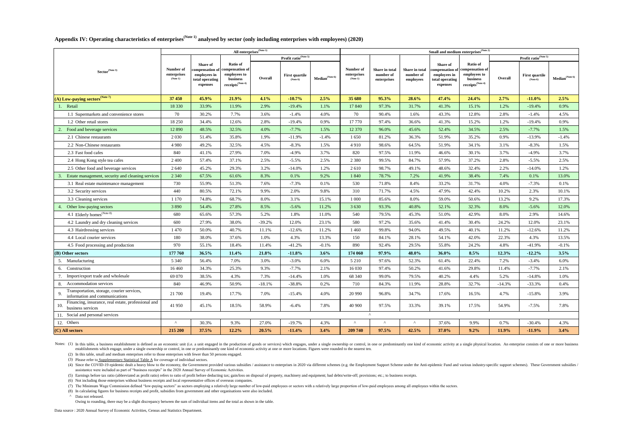(7) The Minimum Wage Commission defined "low-paying sectors" as sectors employing a relatively large number of low-paid employees or sectors with a relatively large proportion of low-paid employees among all employees with (8) In calculating figures for business receipts and profit, subsidies from government and other organisations were also included. ^ Data not released.

(4) Since the COVID-19 epidemic dealt a heavy blow to the economy, the Government provided various subsidies / assistance to enterprises in 2020 via different schemes (e.g. the Employment Support Scheme under the Anti-epid assistantce were included as part of "business receipts" in the 2020 Annual Survey of Economic Activities.

(5) Earnings before tax ratio (abbreviated as profit ratio) refers to ratio of profit before deducting tax; gain/loss on disposal of property, machinery and equipment; bad debts/write-off; provisions; etc.; to business rec

Notes: (1) In this table, a business establishment is defined as an economic unit (i.e. a unit engaged in the production of goods or services) which engages, under a single ownership or control, in one or predominantly one establishments which engage, under a single ownership or control, in one or predominantly one kind of economic activity at one or more locations. Figures were rounded to the nearest ten.

|                                                                                 | <b>All enterprises</b> <sup>(Note 1)</sup> |                                                                |                                                                                                              |          |                                   |                            | <b>Small and medium enterprises</b> $N^{(Note 2)}$ |                                            |                                                 |                                                                |                                                                                                                |          |                                         |                            |
|---------------------------------------------------------------------------------|--------------------------------------------|----------------------------------------------------------------|--------------------------------------------------------------------------------------------------------------|----------|-----------------------------------|----------------------------|----------------------------------------------------|--------------------------------------------|-------------------------------------------------|----------------------------------------------------------------|----------------------------------------------------------------------------------------------------------------|----------|-----------------------------------------|----------------------------|
|                                                                                 |                                            |                                                                |                                                                                                              |          | Profit ratio <sup>(Note 5)</sup>  |                            |                                                    |                                            |                                                 |                                                                |                                                                                                                |          | <b>Profit ratio</b> <sup>(Note 5)</sup> |                            |
| Sector <sup>(Note 3)</sup>                                                      | Number of<br>enterprises<br>(Note 1)       | <b>Share of</b><br>employees in<br>total operating<br>expenses | <b>Ratio of</b><br>compensation of   compensation of  <br>employees to<br>business<br>receipts $^{(Note 4)}$ | Overall  | <b>First quartile</b><br>(Note 6) | Median <sup>(Note 6)</sup> | Number of<br>enterprises<br>(Note 1)               | Share in total<br>number of<br>enterprises | <b>Share in total</b><br>number of<br>employees | <b>Share of</b><br>employees in<br>total operating<br>expenses | <b>Ratio of</b><br>compensation of compensation of<br>employees to<br>business<br>receipts <sup>(Note 4)</sup> | Overall  | <b>First quartile</b><br>(Note 6)       | Median <sup>(Note 6)</sup> |
| $(A)$ Low-paying sectors <sup>(Note 7)</sup>                                    | 37 450                                     | 45.9%                                                          | 21.9%                                                                                                        | 4.1%     | $-10.7%$                          | 2.5%                       | 35 680                                             | 95.3%                                      | 28.6%                                           | 47.4%                                                          | 24.4%                                                                                                          | 2.7%     | $-11.0\%$                               | 2.5%                       |
| 1. Retail                                                                       | 18 3 30                                    | 33.9%                                                          | 11.9%                                                                                                        | 2.9%     | $-19.4%$                          | 1.1%                       | 17 840                                             | 97.3%                                      | 31.7%                                           | 41.3%                                                          | 15.1%                                                                                                          | 1.2%     | $-19.4%$                                | 0.9%                       |
| 1.1 Supermarkets and convenience stores                                         | 70                                         | 30.2%                                                          | 7.7%                                                                                                         | 3.6%     | $-1.4%$                           | 4.0%                       | 70                                                 | 90.4%                                      | 1.6%                                            | 43.3%                                                          | 12.8%                                                                                                          | 2.8%     | $-1.4%$                                 | 4.5%                       |
| 1.2 Other retail stores                                                         | 18 250                                     | 34.4%                                                          | 12.6%                                                                                                        | 2.8%     | $-19.4%$                          | 0.9%                       | 17 770                                             | 97.4%                                      | 36.6%                                           | 41.3%                                                          | 15.2%                                                                                                          | 1.2%     | $-19.4%$                                | 0.9%                       |
| Food and beverage services                                                      | 12 890                                     | 48.5%                                                          | 32.5%                                                                                                        | 4.0%     | $-7.7\%$                          | 1.5%                       | 12 370                                             | 96.0%                                      | 45.6%                                           | 52.4%                                                          | 34.5%                                                                                                          | 2.5%     | $-7.7\%$                                | 1.5%                       |
| 2.1 Chinese restaurants                                                         | 2 0 3 0                                    | 51.4%                                                          | 35.8%                                                                                                        | 1.9%     | $-11.9\%$                         | $-1.4%$                    | 1 650                                              | 81.2%                                      | 36.3%                                           | 51.9%                                                          | 35.2%                                                                                                          | 0.9%     | $-13.9\%$                               | $-1.4%$                    |
| 2.2 Non-Chinese restaurants                                                     | 4 9 8 0                                    | 49.2%                                                          | 32.5%                                                                                                        | 4.5%     | $-8.3\%$                          | 1.5%                       | 4910                                               | 98.6%                                      | 64.5%                                           | 51.9%                                                          | 34.1%                                                                                                          | 3.1%     | $-8.3\%$                                | 1.5%                       |
| 2.3 Fast food cafes                                                             | 840                                        | 41.1%                                                          | 27.9%                                                                                                        | 7.0%     | $-4.9\%$                          | 3.7%                       | 820                                                | 97.5%                                      | 11.9%                                           | 46.6%                                                          | 30.1%                                                                                                          | 3.7%     | $-4.9\%$                                | 3.7%                       |
| 2.4 Hong Kong style tea cafes                                                   | 2 4 0 0                                    | 57.4%                                                          | 37.1%                                                                                                        | 2.5%     | $-5.5\%$                          | 2.5%                       | 2 3 8 0                                            | 99.5%                                      | 84.7%                                           | 57.9%                                                          | 37.2%                                                                                                          | 2.8%     | $-5.5\%$                                | 2.5%                       |
| 2.5 Other food and beverage services                                            | 2 640                                      | 45.2%                                                          | 29.3%                                                                                                        | 3.2%     | $-14.0\%$                         | 1.2%                       | 2 6 1 0                                            | 98.7%                                      | 49.1%                                           | 48.6%                                                          | 32.4%                                                                                                          | 2.2%     | $-14.0\%$                               | 1.2%                       |
| Estate management, security and cleaning services                               | 2 3 4 0                                    | 67.5%                                                          | 61.6%                                                                                                        | 8.3%     | 0.1%                              | 9.2%                       | 1 840                                              | 78.7%                                      | 7.2%                                            | 41.9%                                                          | 38.4%                                                                                                          | 7.4%     | 0.1%                                    | 13.0%                      |
| 3.1 Real estate maintenance management                                          | 730                                        | 55.9%                                                          | 51.3%                                                                                                        | 7.6%     | $-7.3\%$                          | 0.1%                       | 530                                                | 71.8%                                      | 8.4%                                            | 33.2%                                                          | 31.7%                                                                                                          | 4.0%     | $-7.3\%$                                | 0.1%                       |
| 3.2 Security services                                                           | 440                                        | 80.5%                                                          | 72.1%                                                                                                        | 9.9%     | 2.0%                              | 9.8%                       | 310                                                | 71.7%                                      | 4.5%                                            | 47.9%                                                          | 42.4%                                                                                                          | 10.2%    | 2.3%                                    | 10.1%                      |
| 3.3 Cleaning services                                                           | 1 170                                      | 74.8%                                                          | 68.7%                                                                                                        | 8.0%     | 3.1%                              | 15.1%                      | 1 0 0 0                                            | 85.6%                                      | 8.0%                                            | 59.0%                                                          | 50.6%                                                                                                          | 13.2%    | 9.2%                                    | 17.3%                      |
| 4. Other low-paying sectors                                                     | 3 8 9 0                                    | 54.4%                                                          | 27.8%                                                                                                        | 8.5%     | $-5.6\%$                          | 11.2%                      | 3 6 3 0                                            | 93.3%                                      | 40.8%                                           | 52.1%                                                          | 32.3%                                                                                                          | 8.0%     | $-5.6\%$                                | 12.0%                      |
| 4.1 Elderly homes <sup>(Note 8)</sup>                                           | 680                                        | 65.6%                                                          | 57.3%                                                                                                        | 5.2%     | 1.8%                              | 11.0%                      | 540                                                | 79.5%                                      | 45.3%                                           | 51.0%                                                          | 42.9%                                                                                                          | 8.0%     | 2.9%                                    | 14.6%                      |
| 4.2 Laundry and dry cleaning services                                           | 600                                        | 27.9%                                                          | 38.0%                                                                                                        | $-39.2%$ | 12.0%                             | 23.1%                      | 580                                                | 97.2%                                      | 35.6%                                           | 41.4%                                                          | 30.4%                                                                                                          | 24.2%    | 12.0%                                   | 23.1%                      |
| 4.3 Hairdressing services                                                       | 1 470                                      | 50.0%                                                          | 40.7%                                                                                                        | 11.1%    | $-12.6%$                          | 11.2%                      | 1 4 6 0                                            | 99.8%                                      | 94.0%                                           | 49.5%                                                          | 40.1%                                                                                                          | 11.2%    | $-12.6%$                                | 11.2%                      |
| 4.4 Local courier services                                                      | 180                                        | 38.0%                                                          | 37.6%                                                                                                        | 1.0%     | 4.3%                              | 13.3%                      | 150                                                | 84.1%                                      | 28.1%                                           | 54.1%                                                          | 42.0%                                                                                                          | 22.3%    | 4.3%                                    | 13.5%                      |
| 4.5 Food processing and production                                              | 970                                        | 55.1%                                                          | 18.4%                                                                                                        | 11.4%    | $-41.2%$                          | $-0.1\%$                   | 890                                                | 92.4%                                      | 29.5%                                           | 55.8%                                                          | 24.2%                                                                                                          | 4.8%     | $-41.9\%$                               | $-0.1\%$                   |
| $(B)$ Other sectors                                                             | 177 760                                    | 36.5%                                                          | 11.4%                                                                                                        | 21.8%    | $-11.8%$                          | 3.6%                       | 174 060                                            | 97.9%                                      | 48.0%                                           | 36.0%                                                          | 8.5%                                                                                                           | 12.3%    | $-12.2%$                                | 3.5%                       |
| 5. Manufacturing                                                                | 5 3 4 0                                    | 56.4%                                                          | 7.0%                                                                                                         | 3.0%     | $-3.0\%$                          | 6.0%                       | 5 2 1 0                                            | 97.6%                                      | 52.3%                                           | 61.4%                                                          | 22.4%                                                                                                          | 7.2%     | $-3.4%$                                 | 6.0%                       |
| 6. Construction                                                                 | 16 4 6 0                                   | 34.3%                                                          | 25.3%                                                                                                        | 9.3%     | $-7.7\%$                          | 2.1%                       | 16 030                                             | 97.4%                                      | 50.2%                                           | 41.6%                                                          | 29.8%                                                                                                          | 11.4%    | $-7.7\%$                                | 2.1%                       |
| Import/export trade and wholesale                                               | 69 070                                     | 38.5%                                                          | 4.3%                                                                                                         | 7.3%     | $-14.4%$                          | 1.0%                       | 68 340                                             | 99.0%                                      | 79.5%                                           | 40.2%                                                          | 4.4%                                                                                                           | 5.2%     | $-14.8\%$                               | 1.0%                       |
| 8. Accommodation services                                                       | 840                                        | 46.9%                                                          | 50.9%                                                                                                        | $-18.1%$ | $-38.8%$                          | 0.2%                       | 710                                                | 84.3%                                      | 11.9%                                           | 28.8%                                                          | 32.7%                                                                                                          | $-14.3%$ | $-33.3%$                                | 0.4%                       |
| Transportation, storage, courier services,<br>information and communications    | 21 700                                     | 19.4%                                                          | 17.7%                                                                                                        | 7.0%     | $-15.4%$                          | 4.0%                       | 20 990                                             | 96.8%                                      | 34.7%                                           | 17.6%                                                          | 16.5%                                                                                                          | 4.7%     | $-15.8\%$                               | 3.9%                       |
| Financing, insurance, real estate, professional and<br>10.<br>business services | 41 950                                     | 45.1%                                                          | 18.5%                                                                                                        | 58.9%    | $-6.4\%$                          | 7.8%                       | 40 900                                             | 97.5%                                      | 33.3%                                           | 39.1%                                                          | 17.5%                                                                                                          | 54.9%    | $-7.5%$                                 | 7.8%                       |
| 11. Social and personal services                                                |                                            |                                                                |                                                                                                              |          |                                   |                            |                                                    | $\wedge$                                   |                                                 |                                                                |                                                                                                                |          |                                         |                            |
| 12. Others                                                                      | $\Lambda$                                  | 30.3%                                                          | 9.3%                                                                                                         | 27.0%    | $-19.7\%$                         | 4.3%                       | $\Lambda$                                          | $\Lambda$                                  | $\Lambda$                                       | 37.6%                                                          | 9.9%                                                                                                           | 0.7%     | $-30.4%$                                | 4.3%                       |
| (C) All sectors                                                                 | 215 200                                    | 37.5%                                                          | 12.2%                                                                                                        | 20.5%    | $-11.4%$                          | $3.4\%$                    | 209 740                                            | 97.5%                                      | 42.5%                                           | 37.0%                                                          | $9.2\%$                                                                                                        | 11.9%    | $-11.9\%$                               | $3.4\%$                    |

# Appendix IV: Operating characteristics of enterprises<sup>(Note 1)</sup> analysed by sector (only including enterprises with employees) (2020)

(6) Not including those enterprises without business receipts and local representative offices of overseas companies.

Owing to rounding, there may be a slight discrepancy between the sum of individual items and the total as shown in the table.

Data source : 2020 Annual Survey of Economic Activities, Census and Statistics Department.

(2) In this table, small and medium enterprises refer to those enterprises with fewer than 50 persons engaged.

(3) Please refer to Supplementary Statistical Table  $\overline{A}$  for coverage of individual sectors.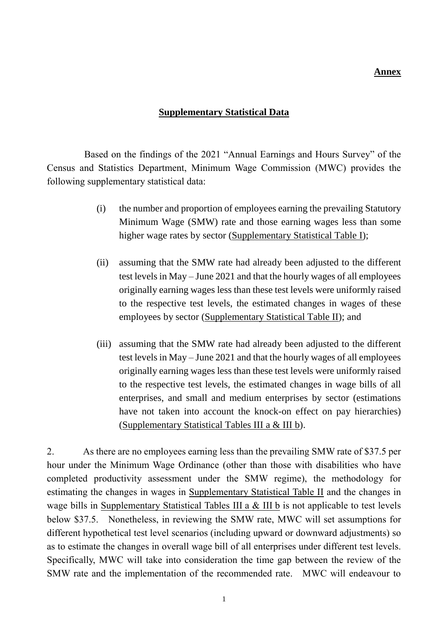### **Annex**

### **Supplementary Statistical Data**

Based on the findings of the 2021 "Annual Earnings and Hours Survey" of the Census and Statistics Department, Minimum Wage Commission (MWC) provides the following supplementary statistical data:

- (i) the number and proportion of employees earning the prevailing Statutory Minimum Wage (SMW) rate and those earning wages less than some higher wage rates by sector (Supplementary Statistical Table I);
- (ii) assuming that the SMW rate had already been adjusted to the different test levels in May – June 2021 and that the hourly wages of all employees originally earning wages less than these test levels were uniformly raised to the respective test levels, the estimated changes in wages of these employees by sector (Supplementary Statistical Table II); and
- (iii) assuming that the SMW rate had already been adjusted to the different test levels in May – June 2021 and that the hourly wages of all employees originally earning wages less than these test levels were uniformly raised to the respective test levels, the estimated changes in wage bills of all enterprises, and small and medium enterprises by sector (estimations have not taken into account the knock-on effect on pay hierarchies) (Supplementary Statistical Tables III a & III b).

2. As there are no employees earning less than the prevailing SMW rate of \$37.5 per hour under the Minimum Wage Ordinance (other than those with disabilities who have completed productivity assessment under the SMW regime), the methodology for estimating the changes in wages in Supplementary Statistical Table II and the changes in wage bills in Supplementary Statistical Tables III a & III b is not applicable to test levels below \$37.5. Nonetheless, in reviewing the SMW rate, MWC will set assumptions for different hypothetical test level scenarios (including upward or downward adjustments) so as to estimate the changes in overall wage bill of all enterprises under different test levels. Specifically, MWC will take into consideration the time gap between the review of the SMW rate and the implementation of the recommended rate. MWC will endeavour to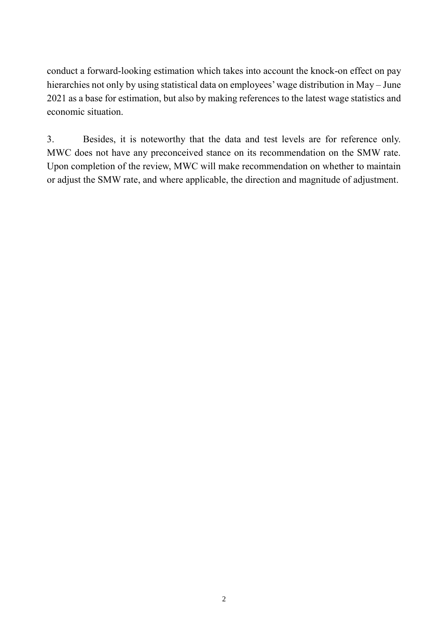conduct a forward-looking estimation which takes into account the knock-on effect on pay hierarchies not only by using statistical data on employees' wage distribution in May – June 2021 as a base for estimation, but also by making references to the latest wage statistics and economic situation.

3. Besides, it is noteworthy that the data and test levels are for reference only. MWC does not have any preconceived stance on its recommendation on the SMW rate. Upon completion of the review, MWC will make recommendation on whether to maintain or adjust the SMW rate, and where applicable, the direction and magnitude of adjustment.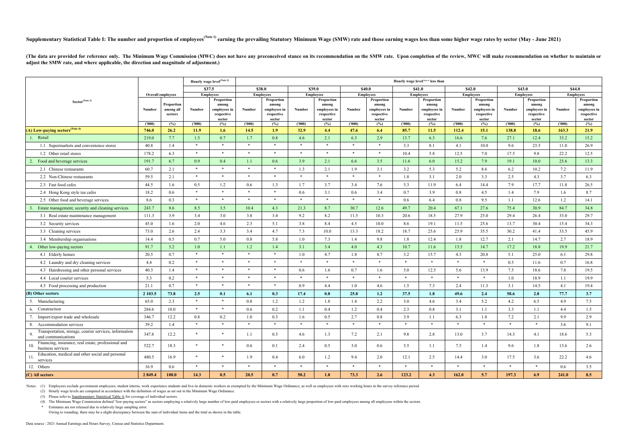(4) The Minimum Wage Commission defined "low-paying sectors" as sectors employing a relatively large number of low-paid employees or sectors with a relatively large proportion of low-paid employees among all employees with \* Estimates are not released due to relatively large sampling error.

## Supplementary Statistical Table I: The number and proportion of employees<sup>(Note 1)</sup> earning the prevailing Statutory Minimum Wage (SMW) rate and those earning wages less than some higher wage rates by sector (May - June 20

(The data are provided for reference only. The Minimum Wage Commission (MWC) does not have any preconceived stance on its recommendation on the SMW rate. Upon completion of the review, MWC will make recommendation on wheth **adjust the SMW rate, and where applicable, the direction and magnitude of adjustment.)**

|                                                                                    |                 |                                    |                  | Hourly wage level <sup>(Note 2)</sup>                       |                |                                                                       |                |                                                             |                |                                                             |                | Hourly wage level <sup>(Note 2)</sup> less than                       |                 |                                                             |                 |                                                             |                 |                                                             |
|------------------------------------------------------------------------------------|-----------------|------------------------------------|------------------|-------------------------------------------------------------|----------------|-----------------------------------------------------------------------|----------------|-------------------------------------------------------------|----------------|-------------------------------------------------------------|----------------|-----------------------------------------------------------------------|-----------------|-------------------------------------------------------------|-----------------|-------------------------------------------------------------|-----------------|-------------------------------------------------------------|
|                                                                                    |                 |                                    |                  | \$37.5<br>\$38.0                                            |                |                                                                       | \$39.0         |                                                             | \$40.0         | \$41.0                                                      |                |                                                                       | \$42.0          | \$43.0                                                      |                 |                                                             | \$44.0          |                                                             |
|                                                                                    |                 | <b>Overall employees</b>           |                  | <b>Employees</b>                                            |                | <b>Employees</b>                                                      |                | <b>Employees</b>                                            |                | <b>Employees</b>                                            |                | <b>Employees</b>                                                      |                 | <b>Employees</b>                                            |                 | <b>Employees</b>                                            |                 | <b>Employees</b>                                            |
| Sector <sup>(Note 3)</sup>                                                         | Number          | Proportion<br>among all<br>sectors | Number           | Proportion<br>among<br>employees in<br>respective<br>sector | Number         | Proportion<br>among<br>employees in<br>$\,$ respective $\,$<br>sector | Number         | Proportion<br>among<br>employees in<br>respective<br>sector | Number         | Proportion<br>among<br>employees in<br>respective<br>sector | Number         | Proportion<br>among<br>employees in<br>$\,$ respective $\,$<br>sector | Number          | Proportion<br>among<br>employees in<br>respective<br>sector | Number          | Proportion<br>among<br>employees in<br>respective<br>sector | Number          | Proportion<br>among<br>employees in<br>respective<br>sector |
| (A) Low-paying sectors <sup>(Note 4)</sup>                                         | (1000)<br>746.0 | (%)<br>26.2                        | (1000)<br>11.9   | (%)<br>1.6                                                  | (1000)<br>14.5 | (%)<br>1.9                                                            | (1000)<br>32.9 | (%)<br>4.4                                                  | (1000)<br>47.6 | (%)<br>6.4                                                  | (1000)<br>85.7 | (%)<br>11.5                                                           | (1000)<br>112.4 | (%)<br>15.1                                                 | (1000)<br>138.8 | (%)<br>18.6                                                 | (1000)<br>163.3 | (%)<br>21.9                                                 |
| 1. Retail                                                                          | 219.0           | 7.7                                | 1.5              | 0.7                                                         | 1.7            | 0.8                                                                   | 4.6            | 2.1                                                         | 6.3            | 2.9                                                         | 13.7           | 6.3                                                                   | 16.6            | 7.6                                                         | 27.1            | 12.4                                                        | 33.2            | 15.2                                                        |
| 1.1 Supermarkets and convenience stores                                            | 40.8            | 1.4                                | $\ast$           | $\ast$                                                      | $*$            | $*$                                                                   | $\ast$         | $*$                                                         | $\ast$         | $*$                                                         | 3.3            | 8.1                                                                   | 4.1             | 10.0                                                        | 9.6             | 23.5                                                        | 11.0            | 26.9                                                        |
| 1.2 Other retail stores                                                            | 178.2           | 6.3                                | $*$              | $\ast$                                                      | $\ast$         | $\ast$                                                                | $\ast$         | $\ast$                                                      | $\ast$         | $*$                                                         | 10.4           | 5.8                                                                   | 12.5            | 7.0                                                         | 17.5            | 9.8                                                         | 22.2            | 12.5                                                        |
| 2. Food and beverage services                                                      | 191.7           | 6.7                                | 0.9 <sub>o</sub> | 0.4                                                         | 1.1            | 0.6                                                                   | 3.9            | 2.1                                                         | 6.6            | 3.5                                                         | 11.6           | 6.0                                                                   | 15.2            | 7.9                                                         | 19.1            | 10.0                                                        | 25.6            | 13.3                                                        |
| 2.1 Chinese restaurants                                                            | 60.7            | 2.1                                | $*$              | $\ast$                                                      | $*$            | $\ast$                                                                | 1.3            | 2.1                                                         | 1.9            | 3.1                                                         | 3.2            | 5.3                                                                   | 5.2             | 8.6                                                         | 6.2             | 10.2                                                        | 7.2             | 11.9                                                        |
| 2.2 Non-Chinese restaurants                                                        | 59.5            | 2.1                                | $*$              | $\ast$                                                      | $*$            | $\ast$                                                                | $*$            | $*$                                                         | $\ast$         | $*$                                                         | 1.8            | 3.1                                                                   | 2.0             | 3.3                                                         | 2.5             | 4.3                                                         | 3.7             | 6.3                                                         |
| 2.3 Fast food cafes                                                                | 44.5            | 1.6                                | $0.5\,$          | 1.2                                                         | 0.6            | 1.3                                                                   | 1.7            | 3.7                                                         | 3.4            | 7.6                                                         | 5.3            | 11.9                                                                  | 6.4             | 14.4                                                        | 7.9             | 17.7                                                        | 11.8            | 26.5                                                        |
| 2.4 Hong Kong style tea cafes                                                      | 18.2            | 0.6                                | $*$              | $\ast$                                                      | $*$            | $\ast$                                                                | 0.6            | 3.1                                                         | 0.6            | 3.4                                                         | 0.7            | 3.9                                                                   | 0.8             | 4.5                                                         | 1.4             | 7.9                                                         | 1.6             | 8.7                                                         |
| 2.5 Other food and beverage services                                               | 8.6             | 0.3                                | $\ast$           | $\ast$                                                      | $*$            | $*$                                                                   | $\ast$         | $\ast$                                                      | $*$            | $*$                                                         | 0.6            | 6.4                                                                   | 0.8             | 9.5                                                         | 1.1             | 12.6                                                        | 1.2             | 14.1                                                        |
| Estate management, security and cleaning services                                  | 243.7           | 8.6                                | 8.5              | 3.5                                                         | 10.4           | 4.3                                                                   | 21.3           | 8.7                                                         | 30.7           | 12.6                                                        | 49.7           | 20.4                                                                  | 67.1            | 27.6                                                        | 75.4            | 30.9                                                        | 84.7            | 34.8                                                        |
| 3.1 Real estate maintenance management                                             | 111.3           | 3.9                                | 3.4              | 3.0                                                         | 3.8            | 3.4                                                                   | 9.2            | 8.2                                                         | 11.5           | 10.3                                                        | 20.6           | 18.5                                                                  | 27.9            | 25.0                                                        | 29.4            | 26.4                                                        | 33.0            | 29.7                                                        |
| 3.2 Security services                                                              | 45.0            | 1.6                                | 2.0              | 4.6                                                         | 2.3            | 5.1                                                                   | 3.8            | 8.4                                                         | 4.5            | 10.0                                                        | 8.6            | 19.1                                                                  | 11.5            | 25.6                                                        | 13.7            | 30.4                                                        | 15.4            | 34.3                                                        |
| 3.3 Cleaning services                                                              | 73.0            | 2.6                                | 2.4              | 3.3                                                         | 3.4            | 4.7                                                                   | 7.3            | 10.0                                                        | 13.3           | 18.2                                                        | 18.7           | 25.6                                                                  | 25.9            | 35.5                                                        | 30.2            | 41.4                                                        | 33.5            | 45.9                                                        |
| 3.4 Membership organisations                                                       | 14.4            | 0.5                                | 0.7              | 5.0                                                         | 0.8            | 5.8                                                                   | 1.0            | 7.3                                                         | 1.4            | 9.8                                                         | 1.8            | 12.4                                                                  | 1.8             | 12.7                                                        | 2.1             | 14.7                                                        | 2.7             | 18.9                                                        |
| Other low-paying sectors                                                           | 91.7            | 3.2                                | 1.0              | 1.1                                                         | 1.2            | 1.4                                                                   | 3.1            | 3.4                                                         | 4.0            | 4.3                                                         | 10.7           | 11.6                                                                  | 13.5            | 14.7                                                        | 17.2            | 18.8                                                        | 19.9            | 21.7                                                        |
| 4.1 Elderly homes                                                                  | 20.5            | 0.7                                | $*$              | $\ast$                                                      | $*$            | $*$                                                                   | 1.0            | 4.7                                                         | 1.8            | 8.7                                                         | 3.2            | 15.7                                                                  | 4.3             | 20.8                                                        | 5.1             | 25.0                                                        | 6.1             | 29.8                                                        |
| 4.2 Laundry and dry cleaning services                                              | 4.4             | 0.2                                | $*$              | $\ast$                                                      | $*$            | $*$                                                                   | $\ast$         | $*$                                                         | $*$            | $*$                                                         | $\ast$         | $\ast$                                                                | $*$             | $*$                                                         | 0.5             | 11.6                                                        | 0.7             | 16.8                                                        |
| 4.3 Hairdressing and other personal services                                       | 40.3            | 1.4                                | $\ast$           | $\ast$                                                      | $*$            | $\ast$                                                                | 0.6            | 1.6                                                         | 0.7            | 1.6                                                         | 5.0            | 12.5                                                                  | 5.6             | 13.9                                                        | 7.5             | 18.6                                                        | 7.8             | 19.5                                                        |
| 4.4 Local courier services                                                         | 5.3             | 0.2                                | $*$              | $\ast$                                                      | $\ast$         | $\ast$                                                                | $\ast$         | $\ast$                                                      | $\ast$         | $\ast$                                                      | $\star$        | $\ast$                                                                | $*$             | $\ast$                                                      | 1.0             | 18.9                                                        | 1.1             | 19.9                                                        |
| 4.5 Food processing and production                                                 | 21.1            | 0.7                                | $*$              | $\ast$                                                      | $\ast$         | $\ast$                                                                | 0.9            | 4.4                                                         | 1.0            | 4.6                                                         | 1.5            | 7.3                                                                   | 2.4             | 11.3                                                        | 3.1             | 14.5                                                        | 4.1             | 19.4                                                        |
| (B) Other sectors                                                                  | 2 103.5         | 73.8                               | 2.5              | 0.1                                                         | 6.1            | 0.3                                                                   | 17.4           | 0.8                                                         | 25.8           | 1.2                                                         | 37.5           | 1.8                                                                   | 49.6            | 2.4                                                         | 58.6            | 2.8                                                         | 77.7            | 3.7                                                         |
| Manufacturing<br>5.                                                                | 65.0            | 2.3                                | $*$              | $\ast$                                                      | $0.8\,$        | 1.2                                                                   | 1.2            | 1.8                                                         | 1.4            | 2.2                                                         | 3.0            | 4.6                                                                   | 3.4             | 5.2                                                         | 4.2             | 6.5                                                         | 4.9             | 7.5                                                         |
| 6. Construction                                                                    | 284.6           | 10.0                               | $*$              | $\ast$                                                      | 0.6            | 0.2                                                                   | 1.1            | 0.4                                                         | 1.2            | 0.4                                                         | 2.3            | 0.8                                                                   | 3.1             | 1.1                                                         | 3.3             | 1.1                                                         | 4.4             | 1.5                                                         |
| Import/export trade and wholesale                                                  | 346.7           | 12.2                               | 0.8              | 0.2                                                         | 1.0            | 0.3                                                                   | 1.6            | 0.5                                                         | 2.7            | 0.8                                                         | 3.9            | 1.1                                                                   | 6.3             | 1.8                                                         | 7.2             | 2.1                                                         | 9.9             | 2.9                                                         |
| 8. Accommodation services                                                          | 39.2            | 1.4                                | $*$              | $*$                                                         | $*$            | $\ast$                                                                | $*$            | $*$                                                         | $*$            | $*$                                                         | $\ast$         | $*$                                                                   | $\ast$          | $*$                                                         | $*$             | $\ast$                                                      | 3.6             | 9.1                                                         |
| Transportation, storage, courier services, information<br>9.<br>and communications | 347.8           | 12.2                               | $\ast$           | $\ast$                                                      | 1.1            | 0.3                                                                   | 4.6            | 1.3                                                         | 7.2            | 2.1                                                         | 9.8            | 2.8                                                                   | 13.0            | 3.7                                                         | 14.3            | 4.1                                                         | 18.6            | 5.3                                                         |
| Financing, insurance, real estate, professional and<br>10.<br>business services    | 522.7           | 18.3                               | $*$              | $\ast$                                                      | 0.6            | 0.1                                                                   | 2.4            | 0.5                                                         | 3.0            | 0.6                                                         | 5.5            | 1.1                                                                   | 7.5             | 1.4                                                         | 9.6             | 1.8                                                         | 13.6            | 2.6                                                         |
| Education, medical and other social and personal<br>11.<br>services                | 480.5           | 16.9                               | $*$              | $\ast$                                                      | 1.9            | 0.4                                                                   | 6.0            | 1.2                                                         | 9.4            | 2.0                                                         | 12.1           | 2.5                                                                   | 14.4            | 3.0                                                         | 17.5            | 3.6                                                         | 22.2            | 4.6                                                         |
| 12. Others                                                                         | 16.9            | 0.6                                | $*$              | $\ast$                                                      | $\ast$         | $\ast$                                                                | $*$            | $*$                                                         | $*$            | $*$                                                         | $\ast$         | $*$                                                                   | $*$             | $\ast$                                                      | $\ast$          | $\ast$                                                      | $0.6\,$         | 3.5                                                         |
| (C) All sectors                                                                    | 2 849.4         | 100.0                              | 14.3             | 0.5                                                         | 20.5           | 0.7                                                                   | 50.2           | 1.8                                                         | 73.3           | 2.6                                                         | 123.2          | 4.3                                                                   | 162.0           | 5.7                                                         | 197.3           | 6.9                                                         | 241.0           | 8.5                                                         |

Notes: (1) Employees exclude government employees; student interns, work experience students and live-in domestic workers as exempted by the Minimum Wage Ordinance; as well as employees with zero working hours in the surve

(2) Hourly wage levels are computed in accordance with the definition of wages as set out in the Minimum Wage Ordinance.

(3) Please refer to Supplementary Statistical Table A for coverage of individual sectors.

Owing to rounding, there may be a slight discrepancy between the sum of individual items and the total as shown in the table.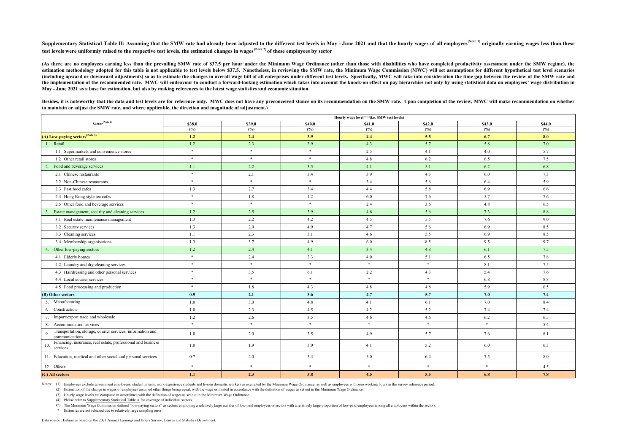Supplementary Statistical Table II: Assuming that the SMW rate had already been adjusted to the different test levels in May - June 2021 and that the hourly wages of all employees<sup>(Note 1)</sup> originally earning wages less th **test levels were uniformly raised to the respective test levels, the estimated changes in wages(Note 2) of these employees by sector**

(3) Hourly wage levels are computed in accordance with the definition of wages as set out in the Minimum Wage Ordinance.

(4) Please refer to Supplementary Statistical Table A for coverage of individual sectors.

(5) The Minimum Wage Commission defined "low-paying sectors" as sectors employing a relatively large number of low-paid employees or sectors with a relatively large proportion of low-paid employees among all employees with

(As there are no employees earning less than the prevailing SMW rate of \$37.5 per hour under the Minimum Wage Ordinance (other than those with disabilities who have completed productivity assessment under the SMW regime), estimation methodology adopted for this table is not applicable to test levels below \$37.5. Nonetheless, in reviewing the SMW rate, the Minimum Wage Commission (MWC) will set assumptions for different hypothetical test lev (including upward or downward adjustments) so as to estimate the changes in overall wage bill of all enterprises under different test levels. Specifically, MWC will take into consideration the time gap between the review o the implementation of the recommended rate. MWC will endeavour to conduct a forward-looking estimation which takes into account the knock-on effect on pay hierarchies not only by using statistical data on employees' wage d **May - June 2021 as a base for estimation, but also by making references to the latest wage statistics and economic situation.**

Besides, it is noteworthy that the data and test levels are for reference only. MWC does not have any preconceived stance on its recommendation on the SMW rate. Upon completion of the review, M **to maintain or adjust the SMW rate, and where applicable, the direction and magnitude of adjustment.)**

\* Estimates are not released due to relatively large sampling error.

Data source : Estimates based on the 2021 Annual Earnings and Hours Survey, Census and Statistics Department.

|  | WC will make recommendation on whether |  |
|--|----------------------------------------|--|
|  |                                        |  |

|                                                                                    | Hourly wage level <sup>(Note 3)</sup> (i.e. SMW test levels) |        |         |        |         |        |        |  |  |  |  |  |
|------------------------------------------------------------------------------------|--------------------------------------------------------------|--------|---------|--------|---------|--------|--------|--|--|--|--|--|
| Sector <sup>(Note 4)</sup>                                                         | \$38.0                                                       | \$39.0 | \$40.0  | \$41.0 | \$42.0  | \$43.0 | \$44.0 |  |  |  |  |  |
|                                                                                    | (%)                                                          | (%)    | (%)     | (%)    | (%)     | (%)    | (%)    |  |  |  |  |  |
| (A) Low-paying sectors <sup>(Note 5)</sup>                                         | 1.2                                                          | 2.4    | 3.9     | 4.4    | 5.5     | 6.7    | 8.0    |  |  |  |  |  |
| 1. Retail                                                                          | 1.2                                                          | 2.3    | 3.9     | 4.3    | 5.7     | 5.8    | 7.0    |  |  |  |  |  |
| 1.1 Supermarkets and convenience stores                                            | $\ast$                                                       | $\ast$ | $*$     | 2.5    | 4.1     | 4.0    | 5.7    |  |  |  |  |  |
| 1.2 Other retail stores                                                            | $\ast$                                                       | $\ast$ | $\ast$  | 4.8    | $6.2\,$ | 6.5    | 7.5    |  |  |  |  |  |
| Food and beverage services<br>2.                                                   | 1.1                                                          | 2.2    | 3.5     | 4.1    | 5.1     | 6.2    | 6.8    |  |  |  |  |  |
| 2.1 Chinese restaurants                                                            | $\ast$                                                       | 2.1    | 3.4     | 3.9    | 4.3     | 6.0    | 7.3    |  |  |  |  |  |
| 2.2 Non-Chinese restaurants                                                        | $\ast$                                                       | $\ast$ | $\ast$  | 3.4    | 5.6     | 6.4    | 5.9    |  |  |  |  |  |
| 2.3 Fast food cafes                                                                | 1.3                                                          | 2.7    | 3.4     | 4.4    | 5.8     | 6.9    | 6.6    |  |  |  |  |  |
| 2.4 Hong Kong style tea cafes                                                      | $\ast$                                                       | 1.8    | 4.2     | 6.0    | 7.6     | 5.7    | 7.6    |  |  |  |  |  |
| 2.5 Other food and beverage services                                               | $\ast$                                                       | $\ast$ | $\star$ | 2.4    | 3.6     | 4.8    | 6.5    |  |  |  |  |  |
| Estate management, security and cleaning services                                  | 1.2                                                          | 2.5    | 3.9     | 4.6    | 5.6     | 7.3    | 8.8    |  |  |  |  |  |
| 3.1 Real estate maintenance management                                             | 1.3                                                          | 2.2    | 4.2     | 4.5    | 5.5     | 7.6    | 9.0    |  |  |  |  |  |
| 3.2 Security services                                                              | 1.3                                                          | 2.9    | 4.9     | 4.7    | 5.6     | 6.9    | 8.5    |  |  |  |  |  |
| 3.3 Cleaning services                                                              | 1.1                                                          | 2.3    | 3.1     | 4.6    | 5.5     | 6.9    | 8.5    |  |  |  |  |  |
| 3.4 Membership organisations                                                       | 1.3                                                          | 3.7    | 4.9     | 6.0    | 8.5     | 9.5    | 9.7    |  |  |  |  |  |
| Other low-paying sectors                                                           | 1.2                                                          | 2.4    | 4.1     | 3.4    | 4.8     | 6.1    | 7.5    |  |  |  |  |  |
| 4.1 Elderly homes                                                                  | $\ast$                                                       | 2.4    | 3.3     | 4.0    | 5.1     | 6.5    | 7.8    |  |  |  |  |  |
| 4.2 Laundry and dry cleaning services                                              | $\ast$                                                       | $\ast$ | $\ast$  | $\ast$ | $\ast$  | 8.1    | 7.5    |  |  |  |  |  |
| 4.3 Hairdressing and other personal services                                       | $\ast$                                                       | 3.5    | 6.1     | 2.2    | 4.3     | 5.4    | 7.6    |  |  |  |  |  |
| 4.4 Local courier services                                                         | $\ast$                                                       | $\ast$ | $\ast$  | $\ast$ | $*$     | 6.8    | 8.8    |  |  |  |  |  |
| 4.5 Food processing and production                                                 | $*$                                                          | 1.8    | 4.3     | 4.8    | 4.8     | 5.9    | 6.5    |  |  |  |  |  |
| (B) Other sectors                                                                  | 0.9                                                          | 2.1    | 3.6     | 4.7    | 5.7     | 7.0    | 7.4    |  |  |  |  |  |
| 5. Manufacturing                                                                   | 1.0                                                          | 3.0    | 4.8     | 4.1    | 6.1     | 7.0    | 8.4    |  |  |  |  |  |
| 6. Construction                                                                    | 1.0                                                          | 2.3    | 4.5     | 4.2    | 5.2     | 7.4    | 7.4    |  |  |  |  |  |
| 7. Import/export trade and wholesale                                               | 1.2                                                          | 2.6    | 3.5     | 4.6    | 4.6     | 6.2    | 6.5    |  |  |  |  |  |
| 8. Accommodation services                                                          | $*$                                                          | $*$    | $*$     | $\ast$ | $\ast$  | $\ast$ | 5.4    |  |  |  |  |  |
| Transportation, storage, courier services, information and<br>9.<br>communications | $1.0\,$                                                      | 2.0    | 3.5     | 4.9    | 5.7     | 7.6    | 8.1    |  |  |  |  |  |
| Financing, insurance, real estate, professional and business<br>10.<br>services    | 1.0                                                          | 1.9    | 3.9     | 4.1    | 5.2     | 6.0    | 6.3    |  |  |  |  |  |
| 11. Education, medical and other social and personal services                      | 0.7                                                          | 2.0    | 3.4     | 5.0    | 6.4     | 7.5    | 8.0    |  |  |  |  |  |
| 12. Others                                                                         | $\ast$                                                       | $\ast$ | $\ast$  | $\ast$ | $*$     | $*$    | 4.5    |  |  |  |  |  |
| (C) All sectors                                                                    | 1.1                                                          | 2.3    | 3.8     | 4.5    | 5.5     | 6.8    | 7.8    |  |  |  |  |  |

Notes: (1) Employees exclude government employees; student interns, work experience students and live-in domestic workers as exempted by the Minimum Wage Ordinance; as well as employees with zero working hours in the surve

(2) Estimation of the change in wages of employees assumed other things being equal, with the wage estimated in accordance with the definition of wages as set out in the Minimum Wage Ordinance.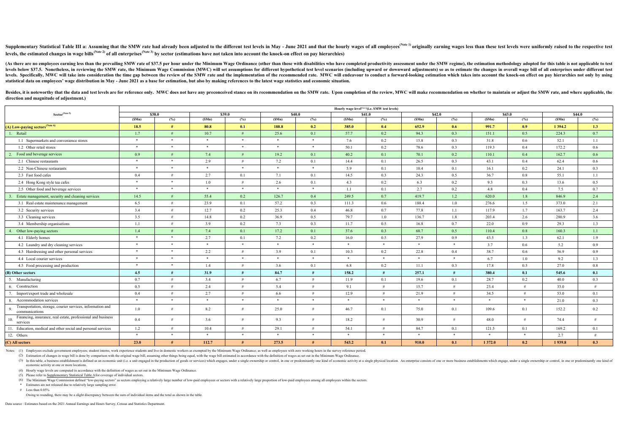Supplementary Statistical Table III a: Assuming that the SMW rate had already been adjusted to the different test levels in May - June 2021 and that the hourly wages of all employees<sup>(Note 1)</sup> originally earning wages less **levels, the estimated changes in wage bills(Note 2) of all enterprises(Note 3) by sector (estimations have not taken into account the knock-on effect on pay hierarchies)**

(As there are no employees earning less than the prevailing SMW rate of \$37.5 per hour under the Minimum Wage Ordinance (other than those with disabilities who have completed productivity assessment under the SMW regime), levels below \$37.5. Nonetheless, in reviewing the SMW rate, the Minimum Wage Commission (MWC) will set assumptions for different hypothetical test level scenarios (including upward or downward adjustments) so as to estimat levels. Specifically, MWC will take into consideration the time gap between the review of the SMW rate and the implementation of the recommended rate. MWC will endeavour to conduct a forward-looking estimation which takes **statistical data on employees' wage distribution in May - June 2021 as a base for estimation, but also by making references to the latest wage statistics and economic situation.**

Besides, it is noteworthy that the data and test levels are for reference only. MWC does not have any preconceived stance on its recommendation on the SMW rate. Upon completion of the review, MWC will make recommendation o **direction and magnitude of adjustment.)**

(4) Hourly wage levels are computed in accordance with the definition of wages as set out in the Minimum Wage Ordinance.

(5) Please refer to Supplementary Statistical Table A for coverage of individual sectors.

(6) The Minimum Wage Commission defined "low-paying sectors" as sectors employing a relatively large number of low-paid employees or sectors with a relatively large proportion of low-paid employees among all employees with

(3) In this table, a business establishment is defined as an economic unit (i.e. a unit engaged in the production of goods or services) which engages, under a single ownership or control, in one or predominantly one kind o economic activity at one or more locations.

\* Estimates are not released due to relatively large sampling error.

# Less than 0.05%

Owing to rounding, there may be a slight discrepancy between the sum of individual items and the total as shown in the table.

|                                                                                    |        |        |        |                |         |        | Hourly wage levelNote 4) (i.e. SMW test levels) |         |       |                    |         |               |            |        |  |  |
|------------------------------------------------------------------------------------|--------|--------|--------|----------------|---------|--------|-------------------------------------------------|---------|-------|--------------------|---------|---------------|------------|--------|--|--|
| Sector <sup>(Note 5)</sup>                                                         |        | \$38.0 |        | $\sqrt{$39.0}$ |         | \$40.0 |                                                 | \$41.0  |       | $\overline{$42.0}$ | \$43.0  |               |            | \$44.0 |  |  |
|                                                                                    | (SMn)  | (%)    | (SMn)  | (%)            | (SMn)   | (%)    | (SMn)                                           | (%)     | (SMn) | (%)                | (SMn)   | $(^{9}/_{0})$ | (SMn)      | (%)    |  |  |
| (A) Low-paying sectors <sup>(Note 6)</sup>                                         | 18.5   | #      | 80.8   | 0.1            | 188.8   | 0.2    | 385.0                                           | 0.4     | 652.9 | 0.6                | 991.7   | 0.9           | 1 3 9 4 .2 | 1.3    |  |  |
| 1. Retail                                                                          | 1.7    | #      | 10.7   | #              | 25.6    | 0.1    | 57.7                                            | 0.2     | 94.3  | 0.3                | 151.1   | 0.5           | 224.3      | 0.7    |  |  |
| 1.1 Supermarkets and convenience stores                                            | $\ast$ | $\ast$ | $*$    | $*$            | $\star$ | $*$    | 7.6                                             | $0.2\,$ | 15.8  | 0.3                | 31.8    | $0.6\,$       | 52.1       | 1.1    |  |  |
| 1.2 Other retail stores                                                            | $\ast$ | $*$    | $*$    | $*$            | $*$     | $*$    | 50.1                                            | $0.2\,$ | 78.6  | 0.3                | 119.3   | 0.4           | 172.2      | 0.6    |  |  |
| 2. Food and beverage services                                                      | 0.9    |        | 7.4    | #              | 19.2    | 0.1    | 40.2                                            | 0.1     | 70.1  | 0.2                | 110.1   | 0.4           | 162.7      | 0.6    |  |  |
| 2.1 Chinese restaurants                                                            | $*$    | $*$    | 2.9    | #              | 7.2     | 0.1    | 14.4                                            | 0.1     | 26.5  | 0.3                | 43.1    | 0.4           | 62.4       | 0.6    |  |  |
| 2.2 Non-Chinese restaurants                                                        | $*$    | $*$    | $*$    | $*$            | $\ast$  | $\ast$ | 5.9                                             | 0.1     | 10.4  | 0.1                | 16.1    | 0.2           | 24.1       | 0.3    |  |  |
| 2.3 Fast food cafes                                                                | 0.4    | #      | 2.7    | 0.1            | 7.1     | 0.1    | 14.5                                            | 0.3     | 24.3  | 0.5                | 36.7    | 0.8           | 55.1       | 1.1    |  |  |
| 2.4 Hong Kong style tea cafes                                                      | $\ast$ | $*$    | 1.0    | #              | 2.6     | 0.1    | 4.3                                             | $0.2\,$ | 6.3   | 0.2                | 9.3     | 0.3           | 13.6       | 0.5    |  |  |
| 2.5 Other food and beverage services                                               | $\ast$ | $*$    | $*$    | $*$            | $\star$ | $*$    | 1.1                                             | 0.1     | 2.7   | 0.2                | 4.8     | 0.4           | 7.5        | 0.7    |  |  |
| Estate management, security and cleaning services                                  | 14.5   |        | 55.4   | 0.2            | 126.7   | 0.4    | 249.5                                           | 0.7     | 419.7 | 1.2                | 620.0   | 1.8           | 846.9      | 2.4    |  |  |
| 3.1 Real estate maintenance management                                             | 6.5    |        | 23.9   | 0.1            | 57.2    | 0.3    | 111.3                                           | 0.6     | 188.4 | 1.0                | 276.6   | 1.5           | 373.0      | 2.1    |  |  |
| 3.2 Security services                                                              | 3.4    | #      | 12.7   | 0.2            | 25.3    | 0.4    | 46.8                                            | 0.7     | 77.8  | 1.1                | 117.9   | 1.7           | 163.7      | 2.4    |  |  |
| 3.3 Cleaning services                                                              | 3.5    | #      | 14.8   | $0.2\,$        | 36.9    | 0.5    | 79.7                                            | 1.0     | 136.7 | 1.8                | 203.4   | 2.6           | 280.9      | 3.6    |  |  |
| 3.4 Membership organisations                                                       | 1.1    |        | 3.9    | 0.2            | 7.3     | 0.3    | 11.7                                            | 0.5     | 16.8  | 0.7                | 22.0    | 0.9           | 29.3       | 1.3    |  |  |
| 4. Other low-paying sectors                                                        | 1.4    |        | 7.4    | 0.1            | 17.2    | 0.1    | 37.6                                            | 0.3     | 68.7  | 0.5                | 110.4   | 0.8           | 160.3      | 1.1    |  |  |
| 4.1 Elderly homes                                                                  | $\ast$ | $*$    | 2.7    | 0.1            | 7.2     | 0.2    | 16.0                                            | 0.5     | 27.9  | 0.9                | 43.5    | 1.3           | 62.1       | 1.9    |  |  |
| 4.2 Laundry and dry cleaning services                                              | $\ast$ | $*$    | $\ast$ | $\ast$         | $*$     | $\ast$ | $\ast$                                          | $*$     | $*$   | $*$                | 3.7     | 0.6           | 5.2        | 0.9    |  |  |
| 4.3 Hairdressing and other personal services                                       | $*$    | $*$    | 2.2    | #              | 3.9     | 0.1    | 10.3                                            | 0.2     | 22.8  | 0.4                | 38.7    | 0.6           | 56.9       | 0.9    |  |  |
| 4.4 Local courier services                                                         | $*$    | $*$    | $*$    | $*$            | $\ast$  | $\ast$ | $\ast$                                          | $*$     | $*$   | $*$                | 6.7     | 1.0           | 9.2        | 1.3    |  |  |
| 4.5 Food processing and production                                                 | $\ast$ | $*$    | 1.4    | #              | 3.6     | 0.1    | 6.8                                             | 0.2     | 11.1  | 0.3                | 17.8    | 0.5           | 27.0       | 0.8    |  |  |
| (B) Other sectors                                                                  | 4.5    | #      | 31.9   | #              | 84.7    |        | 158.2                                           | #       | 257.1 | #                  | 380.4   | 0.1           | 545.6      | 0.1    |  |  |
| 5. Manufacturing                                                                   | 0.7    | #      | 3.4    | #              | 6.7     | #      | 11.9                                            | 0.1     | 19.6  | 0.1                | 28.7    | $0.2\,$       | 40.0       | 0.3    |  |  |
| 6. Construction                                                                    | 0.5    | #      | 2.4    | #              | 5.4     | $\#$   | 9.1                                             | #       | 15.7  | #                  | 23.4    | #             | 33.0       | #      |  |  |
| 7. Import/export trade and wholesale                                               | 0.4    |        | 2.7    | #              | 6.6     | #      | 12.9                                            | #       | 21.9  | #                  | 34.5    | #             | 53.0       | 0.1    |  |  |
| 8. Accommodation services                                                          | $*$    | $*$    | $*$    | $*$            | $\ast$  | $*$    | $*$                                             | $*$     | $*$   | $*$                | $\ast$  | $\ast$        | 21.0       | 0.3    |  |  |
| Transportation, storage, courier services, information and<br>9.<br>communications | 1.0    | #      | 8.2    | #              | 25.0    | $\#$   | 46.7                                            | 0.1     | 75.0  | 0.1                | 109.6   | 0.1           | 152.2      | 0.2    |  |  |
| Financing, insurance, real estate, professional and business<br>10.<br>services    | 0.4    | #      | 3.6    | #              | 9.3     | #      | 18.2                                            | #       | 30.9  | #                  | 48.0    | #             | 74.4       | #      |  |  |
| 11. Education, medical and other social and personal services                      | 1.2    | #      | 10.4   | #              | 29.1    | #      | 54.1                                            | #       | 84.7  | 0.1                | 121.5   | 0.1           | 169.2      | 0.1    |  |  |
| 12. Others                                                                         | $*$    | $*$    | $*$    | $*$            | $*$     | $\ast$ | $*$                                             | $*$     | $*$   | $*$                | $\ast$  | $\ast$        | 2.7        | #      |  |  |
| (C) All sectors                                                                    | 23.0   | H      | 112.7  | #              | 273.5   | #      | 543.2                                           | 0.1     | 910.0 | 0.1                | 1 372.0 | 0.2           | 1939.8     | 0.3    |  |  |

Notes: (1) Employees exclude government employees; student interns, work experience students and live-in domestic workers as exempted by the Minimum Wage Ordinance; as well as employees with zero working hours in the surve

(2) Estimation of changes in wage bill is done by comparison with the original wage bill, assuming other things being equal, with the wage bill estimated in accordance with the definition of wages as set out in the Minimum

Data source : Estimates based on the 2021 Annual Earnings and Hours Survey, Census and Statistics Department.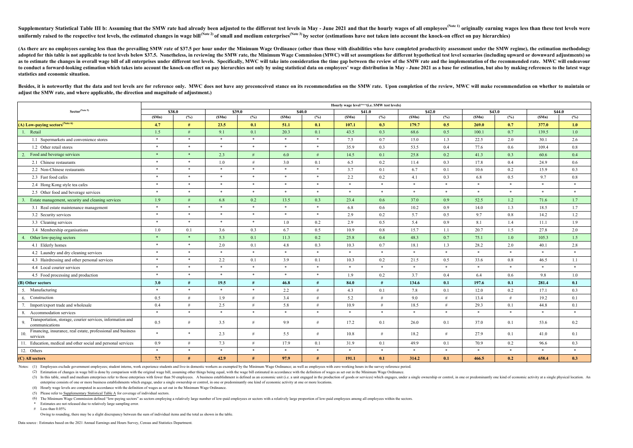(4) Hourly wage levels are computed in accordance with the definition of wages as set out in the Minimum Wage Ordinance.

(5) Please refer to Supplementary Statistical Table A for coverage of individual sectors.

(6) The Minimum Wage Commission defined "low-paying sectors" as sectors employing a relatively large number of low-paid employees or sectors with a relatively large proportion of low-paid employees among all employees with

Supplementary Statistical Table III b: Assuming that the SMW rate had already been adjusted to the different test levels in May - June 2021 and that the hourly wages of all employees<sup>(Note 1)</sup> originally earning wages less uniformly raised to the respective test levels, the estimated changes in wage bill<sup>(Note 2)</sup> of small and medium enterprises<sup>(Note 3)</sup> by sector (estimations have not taken into account the knock-on effect on pay hierarchi

(As there are no employees earning less than the prevailing SMW rate of \$37.5 per hour under the Minimum Wage Ordinance (other than those with disabilities who have completed productivity assessment under the SMW regime), adopted for this table is not applicable to test levels below \$37.5. Nonetheless, in reviewing the SMW rate, the Minimum Wage Commission (MWC) will set assumptions for different hypothetical test level scenarios (including as to estimate the changes in overall wage bill of all enterprises under different test levels. Specifically, MWC will take into consideration the time gap between the review of the SMW rate and the implementation of the r to conduct a forward-looking estimation which takes into account the knock-on effect on pay hierarchies not only by using statistical data on employees' wage distribution in May - June 2021 as a base for estimation, but al **statistics and economic situation.**

Besides, it is noteworthy that the data and test levels are for reference only. MWC does not have any preconceived stance on its recommendation on the SMW rate. Upon completion of the review, MWC will make recommendation o **adjust the SMW rate, and where applicable, the direction and magnitude of adjustment.)**

\* Estimates are not released due to relatively large sampling error.

 $\#$  Less than 0.05%

Owing to rounding, there may be a slight discrepancy between the sum of individual items and the total as shown in the table.

(3) In this table, small and medium enterprises refer to those enterprises with fewer than 50 employees. A business establishment is defined as an economic unit (i.e. a unit engaged in the production of goods or services) enterprise consists of one or more business establishments which engage, under a single ownership or control, in one or predominantly one kind of economic activity at one or more locations.

Data source : Estimates based on the 2021 Annual Earnings and Hours Survey, Census and Statistics Department.

|                                                                                    | Hourly wage level <sup>(Note 4)</sup> (i.e. SMW test levels) |        |        |         |        |        |        |         |        |                  |        |         |        |        |
|------------------------------------------------------------------------------------|--------------------------------------------------------------|--------|--------|---------|--------|--------|--------|---------|--------|------------------|--------|---------|--------|--------|
| ${\bf Sector}^{\textbf{(Note 5)}}$                                                 | \$38.0                                                       |        | \$39.0 |         |        | \$40.0 | \$41.0 |         | \$42.0 |                  | \$43.0 |         |        | \$44.0 |
|                                                                                    | (SMn)                                                        | (%)    | (SMn)  | (%)     | (SMn)  | (%)    | (SMn)  | (%)     | (SMn)  | (%)              | (SMn)  | (%)     | (SMn)  | (%)    |
| (A) Low-paying sectors <sup>(Note 6)</sup>                                         | 4.7                                                          | #      | 23.5   | 0.1     | 51.1   | 0.1    | 107.1  | 0.3     | 179.7  | 0.5              | 269.0  | 0.7     | 377.0  | 1.0    |
| Retail<br>$\pm$                                                                    | 1.5                                                          | #      | 9.1    | 0.1     | 20.3   | 0.1    | 43.5   | 0.3     | 68.6   | 0.5              | 100.1  | 0.7     | 139.5  | 1.0    |
| 1.1 Supermarkets and convenience stores                                            | $\ast$                                                       | $\ast$ | $*$    | $*$     | $*$    | $\ast$ | 7.5    | 0.7     | 15.0   | 1.3              | 22.5   | 2.0     | 30.1   | 2.6    |
| 1.2 Other retail stores                                                            | $\ast$                                                       | $\ast$ | $*$    | $*$     | $*$    | $*$    | 35.9   | 0.3     | 53.5   | 0.4              | 77.6   | 0.6     | 109.4  | 0.8    |
| Food and beverage services<br>2.                                                   | $*$                                                          | $*$    | 2.3    | #       | 6.0    | #      | 14.5   | 0.1     | 25.8   | 0.2              | 41.3   | 0.3     | 60.6   | 0.4    |
| 2.1 Chinese restaurants                                                            | $\ast$                                                       | $\ast$ | 1.0    | #       | 3.0    | 0.1    | 6.5    | 0.2     | 11.4   | 0.3              | 17.8   | $0.4\,$ | 24.9   | 0.6    |
| 2.2 Non-Chinese restaurants                                                        | $\ast$                                                       | $\ast$ | $\ast$ | $\star$ | $*$    | $\ast$ | 3.7    | 0.1     | 6.7    | 0.1              | 10.6   | 0.2     | 15.9   | 0.3    |
| 2.3 Fast food cafes                                                                | $*$                                                          | $\ast$ | $*$    | $\ast$  | $*$    | $\ast$ | 2.2    | 0.2     | 4.1    | 0.3              | 6.8    | $0.5\,$ | 9.7    | 0.8    |
| 2.4 Hong Kong style tea cafes                                                      | $\ast$                                                       | $\ast$ | $\ast$ | $\ast$  | $\ast$ | $\ast$ | $*$    | $\ast$  | $\ast$ | $\ast$           | $*$    | $*$     | $\ast$ | $\ast$ |
| 2.5 Other food and beverage services                                               | $\ast$                                                       | $\ast$ | $*$    | $*$     | $*$    | $*$    | $*$    | $\ast$  | $\ast$ | $*$              | $\ast$ | $*$     | $\ast$ | $*$    |
| Estate management, security and cleaning services<br>$\overline{3}$                | 1.9                                                          | #      | 6.8    | 0.2     | 13.5   | 0.3    | 23.4   | 0.6     | 37.0   | 0.9 <sup>°</sup> | 52.5   | 1.2     | 71.6   | 1.7    |
| 3.1 Real estate maintenance management                                             | $\ast$                                                       | $\ast$ | $\ast$ | $\ast$  | $\ast$ | $\ast$ | 6.8    | 0.6     | 10.2   | 0.9              | 14.0   | 1.3     | 18.5   | 1.7    |
| 3.2 Security services                                                              | $\ast$                                                       | $\ast$ | $*$    | $*$     | $*$    | $*$    | 2.9    | 0.2     | 5.7    | 0.5              | 9.7    | $0.8\,$ | 14.2   | 1.2    |
| 3.3 Cleaning services                                                              | $\ast$                                                       | $\ast$ | $*$    | $*$     | 1.0    | 0.2    | 2.9    | 0.5     | 5.4    | 0.9              | 8.1    | 1.4     | 11.1   | 1.9    |
| 3.4 Membership organisations                                                       | $1.0\,$                                                      | 0.1    | 3.6    | 0.3     | 6.7    | 0.5    | 10.9   | $0.8\,$ | 15.7   | 1.1              | 20.7   | 1.5     | 27.8   | 2.0    |
| Other low-paying sectors                                                           | $\ast$                                                       | $\ast$ | 5.3    | 0.1     | 11.3   | 0.2    | 25.8   | 0.4     | 48.3   | 0.7              | 75.1   | 1.0     | 105.3  | 1.5    |
| 4.1 Elderly homes                                                                  | $\ast$                                                       | $\ast$ | 2.0    | 0.1     | 4.8    | 0.3    | 10.3   | 0.7     | 18.1   | 1.3              | 28.2   | 2.0     | 40.1   | 2.8    |
| 4.2 Laundry and dry cleaning services                                              | $\ast$                                                       | $\ast$ | $*$    | $*$     | $*$    | $\ast$ | $*$    | $\ast$  | $\ast$ | $*$              | $*$    | $*$     | $*$    | $*$    |
| 4.3 Hairdressing and other personal services                                       | $\ast$                                                       | $\ast$ | 2.2    | 0.1     | 3.9    | 0.1    | 10.3   | 0.2     | 21.5   | 0.5              | 33.6   | $0.8\,$ | 46.5   | 1.1    |
| 4.4 Local courier services                                                         | $\ast$                                                       | $\ast$ | $\ast$ | $\star$ | $\ast$ | $\ast$ | $\ast$ | $\ast$  | $\ast$ | $\ast$           | $*$    | $*$     | $\ast$ | $\ast$ |
| 4.5 Food processing and production                                                 | $\ast$                                                       | $\ast$ | $*$    | $\ast$  | $*$    | $*$    | 1.9    | 0.2     | 3.7    | 0.4              | 6.4    | 0.6     | 9.8    | 1.0    |
| (B) Other sectors                                                                  | 3.0                                                          | #      | 19.5   | #       | 46.8   | #      | 84.0   | #       | 134.6  | 0.1              | 197.6  | 0.1     | 281.4  | 0.1    |
| 5. Manufacturing                                                                   | $\ast$                                                       | $*$    | $*$    | $\ast$  | 2.2    | #      | 4.3    | 0.1     | 7.8    | 0.1              | 12.0   | $0.2\,$ | 17.1   | 0.3    |
| 6. Construction                                                                    | 0.5                                                          | #      | 1.9    | #       | 3.4    | #      | 5.2    | #       | 9.0    | #                | 13.4   | #       | 19.2   | 0.1    |
| Import/export trade and wholesale                                                  | 0.4                                                          | #      | 2.5    | #       | 5.8    | #      | 10.9   | #       | 18.5   | #                | 29.3   | 0.1     | 44.8   | 0.1    |
| 8. Accommodation services                                                          | $\ast$                                                       | $\ast$ | $*$    | $*$     | $*$    | $\ast$ | $*$    | $\ast$  | $\ast$ | $*$              | $*$    | $*$     | $\ast$ | $*$    |
| Transportation, storage, courier services, information and<br>9.<br>communications | 0.5                                                          | #      | 3.5    | #       | 9.9    | #      | 17.2   | 0.1     | 26.0   | 0.1              | 37.0   | 0.1     | 53.6   | 0.2    |
| Financing, insurance, real estate, professional and business<br>10.<br>services    | $\ast$                                                       | $\ast$ | 2.3    | #       | 5.5    | #      | 10.8   | #       | 18.2   | #                | 27.9   | 0.1     | 41.0   | 0.1    |
| 11. Education, medical and other social and personal services                      | 0.9                                                          | #      | 7.3    | #       | 17.9   | 0.1    | 31.9   | 0.1     | 49.9   | 0.1              | 70.9   | $0.2\,$ | 96.6   | 0.3    |
| 12. Others                                                                         | $\ast$                                                       | $\ast$ | $\ast$ | $\ast$  | $*$    | $\ast$ | $*$    | $\ast$  | $\ast$ | $*$              | $*$    | $*$     | $\ast$ | $\ast$ |
| (C) All sectors                                                                    | 7.7                                                          | #      | 42.9   | #       | 97.9   | #      | 191.1  | 0.1     | 314.2  | 0.1              | 466.5  | 0.2     | 658.4  | 0.3    |

Notes: (1) Employees exclude government employees; student interns, work experience students and live-in domestic workers as exempted by the Minimum Wage Ordinance; as well as employees with zero working hours in the surve

(2) Estimation of changes in wage bill is done by comparison with the original wage bill, assuming other things being equal, with the wage bill estimated in accordance with the definition of wages as set out in the Minimum